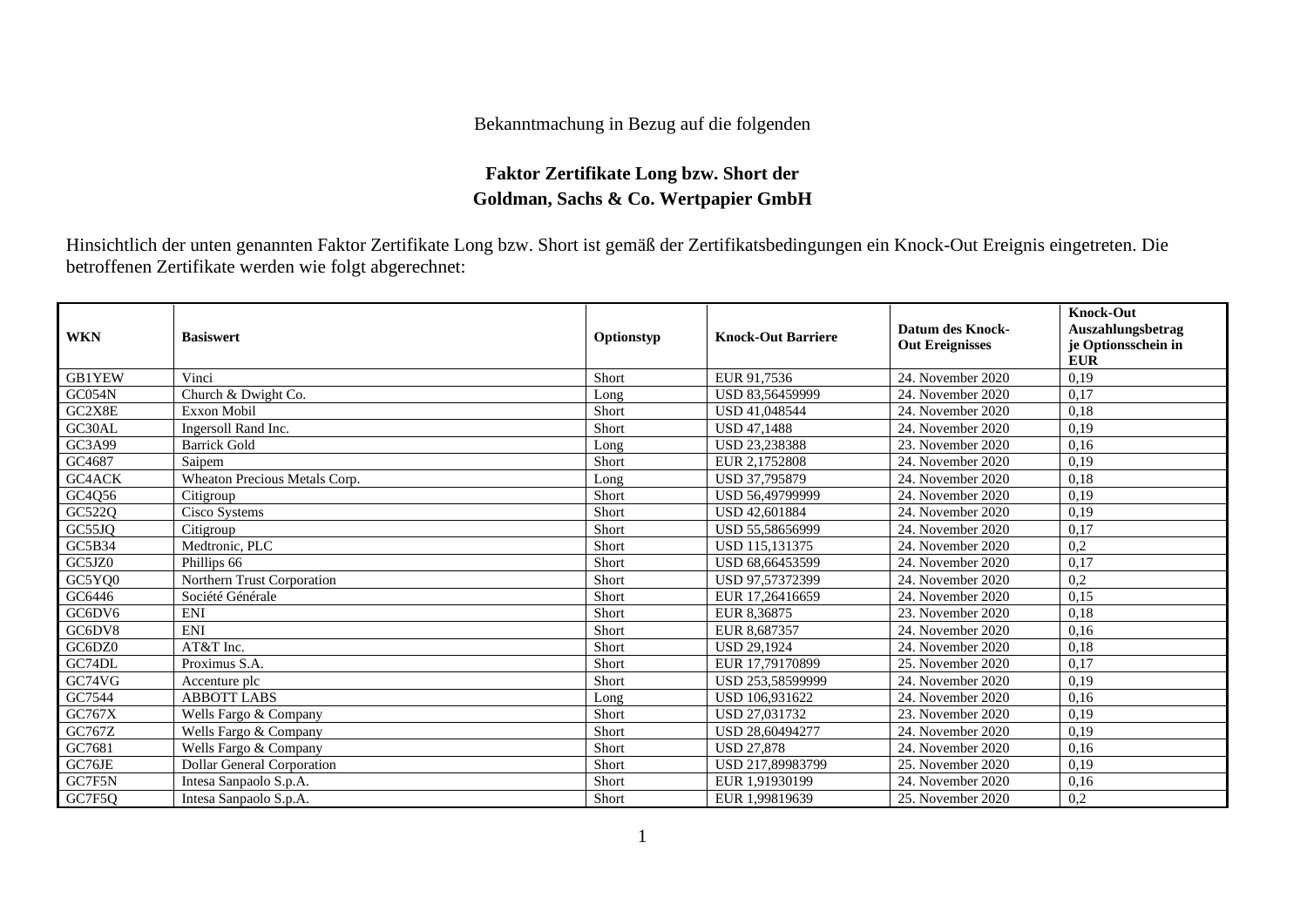## Bekanntmachung in Bezug auf die folgenden

## **Faktor Zertifikate Long bzw. Short der Goldman, Sachs & Co. Wertpapier GmbH**

Hinsichtlich der unten genannten Faktor Zertifikate Long bzw. Short ist gemäß der Zertifikatsbedingungen ein Knock-Out Ereignis eingetreten. Die betroffenen Zertifikate werden wie folgt abgerechnet:

| <b>WKN</b> | <b>Basiswert</b>                  | Optionstyp | <b>Knock-Out Barriere</b> | <b>Datum des Knock-</b><br><b>Out Ereignisses</b> | <b>Knock-Out</b><br>Auszahlungsbetrag<br>je Optionsschein in<br><b>EUR</b> |
|------------|-----------------------------------|------------|---------------------------|---------------------------------------------------|----------------------------------------------------------------------------|
| GB1YEW     | Vinci                             | Short      | EUR 91.7536               | 24. November 2020                                 | 0,19                                                                       |
| GC054N     | Church & Dwight Co.               | Long       | USD 83,56459999           | 24. November 2020                                 | 0,17                                                                       |
| GC2X8E     | <b>Exxon Mobil</b>                | Short      | <b>USD 41,048544</b>      | 24. November 2020                                 | 0,18                                                                       |
| GC30AL     | Ingersoll Rand Inc.               | Short      | <b>USD 47.1488</b>        | 24. November 2020                                 | 0,19                                                                       |
| GC3A99     | <b>Barrick Gold</b>               | Long       | USD 23,238388             | 23. November 2020                                 | 0,16                                                                       |
| GC4687     | Saipem                            | Short      | EUR 2,1752808             | 24. November 2020                                 | 0,19                                                                       |
| GC4ACK     | Wheaton Precious Metals Corp.     | Long       | USD 37,795879             | 24. November 2020                                 | 0,18                                                                       |
| GC4Q56     | Citigroup                         | Short      | USD 56.49799999           | 24. November 2020                                 | 0,19                                                                       |
| GC522Q     | Cisco Systems                     | Short      | USD 42,601884             | 24. November 2020                                 | 0,19                                                                       |
| GC55JQ     | Citigroup                         | Short      | USD 55.58656999           | 24. November 2020                                 | 0,17                                                                       |
| GC5B34     | Medtronic, PLC                    | Short      | USD 115,131375            | 24. November 2020                                 | 0,2                                                                        |
| GC5JZ0     | Phillips 66                       | Short      | USD 68,66453599           | 24. November 2020                                 | 0,17                                                                       |
| GC5YQ0     | Northern Trust Corporation        | Short      | USD 97,57372399           | 24. November 2020                                 | 0,2                                                                        |
| GC6446     | Société Générale                  | Short      | EUR 17,26416659           | 24. November 2020                                 | 0,15                                                                       |
| GC6DV6     | <b>ENI</b>                        | Short      | EUR 8,36875               | 23. November 2020                                 | 0,18                                                                       |
| GC6DV8     | <b>ENI</b>                        | Short      | EUR 8.687357              | 24. November 2020                                 | 0,16                                                                       |
| GC6DZ0     | AT&T Inc.                         | Short      | <b>USD 29.1924</b>        | 24. November 2020                                 | 0,18                                                                       |
| GC74DL     | Proximus S.A.                     | Short      | EUR 17,79170899           | 25. November 2020                                 | 0.17                                                                       |
| GC74VG     | Accenture plc                     | Short      | USD 253,58599999          | 24. November 2020                                 | 0,19                                                                       |
| GC7544     | <b>ABBOTT LABS</b>                | Long       | USD 106,931622            | 24. November 2020                                 | 0,16                                                                       |
| GC767X     | Wells Fargo & Company             | Short      | USD 27,031732             | 23. November 2020                                 | 0,19                                                                       |
| GC767Z     | Wells Fargo & Company             | Short      | USD 28,60494277           | 24. November 2020                                 | 0,19                                                                       |
| GC7681     | Wells Fargo & Company             | Short      | <b>USD 27.878</b>         | 24. November 2020                                 | 0,16                                                                       |
| GC76JE     | <b>Dollar General Corporation</b> | Short      | USD 217,89983799          | 25. November 2020                                 | 0,19                                                                       |
| GC7F5N     | Intesa Sanpaolo S.p.A.            | Short      | EUR 1.91930199            | 24. November 2020                                 | 0,16                                                                       |
| GC7F5Q     | Intesa Sanpaolo S.p.A.            | Short      | EUR 1.99819639            | 25. November 2020                                 | 0,2                                                                        |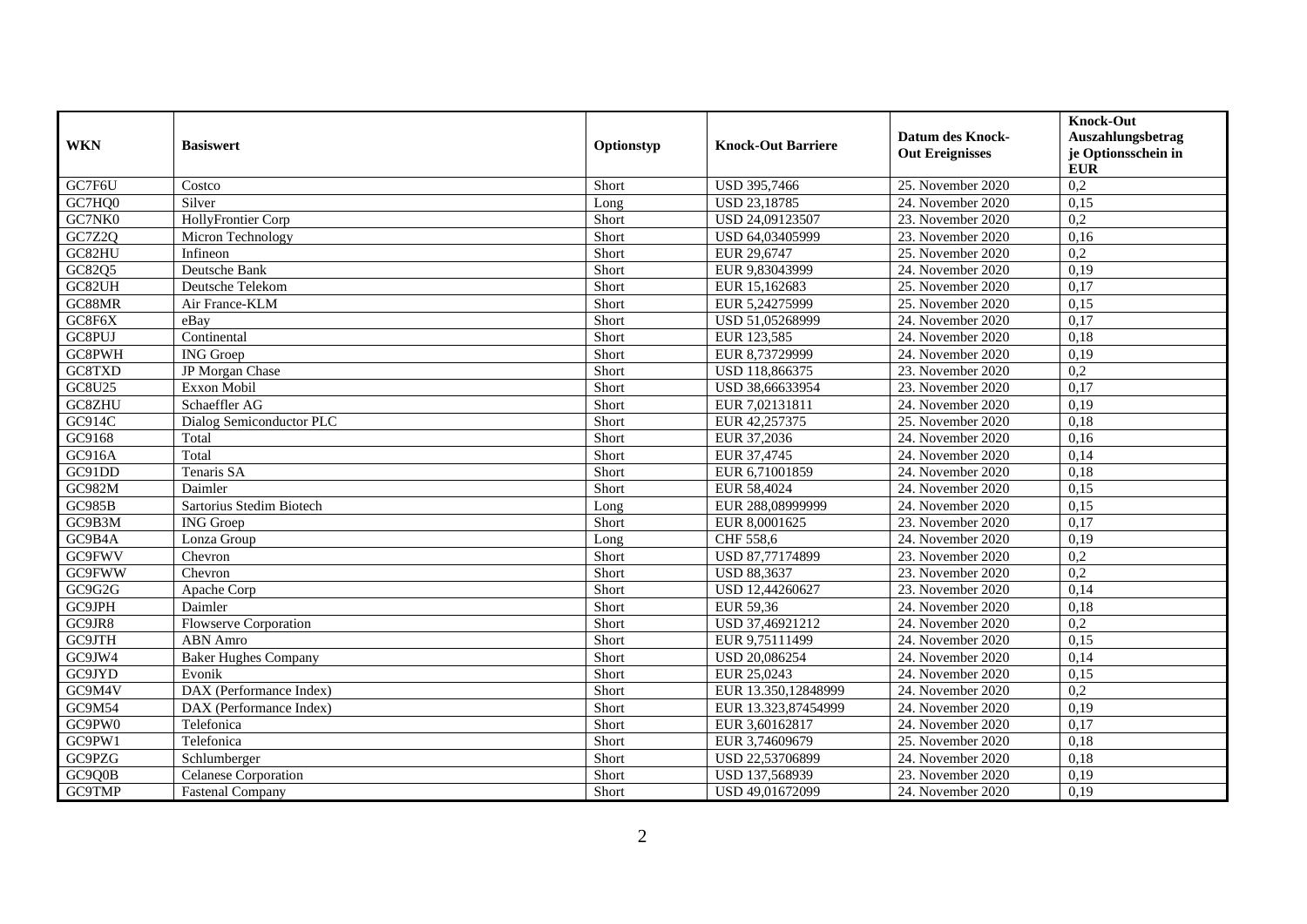| <b>WKN</b>         | <b>Basiswert</b>             | Optionstyp | <b>Knock-Out Barriere</b> | <b>Datum des Knock-</b><br><b>Out Ereignisses</b> | <b>Knock-Out</b><br>Auszahlungsbetrag<br>je Optionsschein in<br><b>EUR</b> |
|--------------------|------------------------------|------------|---------------------------|---------------------------------------------------|----------------------------------------------------------------------------|
| GC7F6U             | Costco                       | Short      | USD 395,7466              | 25. November 2020                                 | $\overline{0.2}$                                                           |
| GC7HQ0             | Silver                       | Long       | USD 23,18785              | 24. November 2020                                 | 0,15                                                                       |
| GC7NK0             | HollyFrontier Corp           | Short      | USD 24,09123507           | 23. November 2020                                 | 0,2                                                                        |
| GC7Z2Q             | Micron Technology            | Short      | USD 64,03405999           | 23. November 2020                                 | 0,16                                                                       |
| GC82HU             | Infineon                     | Short      | EUR 29,6747               | 25. November 2020                                 | $\overline{0.2}$                                                           |
| GC82Q5             | Deutsche Bank                | Short      | EUR 9,83043999            | 24. November 2020                                 | 0,19                                                                       |
| GC82UH             | Deutsche Telekom             | Short      | EUR 15,162683             | 25. November 2020                                 | 0,17                                                                       |
| GC88MR             | Air France-KLM               | Short      | EUR 5,24275999            | 25. November 2020                                 | 0,15                                                                       |
| GC8F6X             | eBay                         | Short      | USD 51,05268999           | 24. November 2020                                 | 0,17                                                                       |
| GC8PUJ             | Continental                  | Short      | EUR 123,585               | 24. November 2020                                 | 0,18                                                                       |
| GC8PWH             | <b>ING</b> Groep             | Short      | EUR 8,73729999            | 24. November 2020                                 | 0,19                                                                       |
| GC8TXD             | JP Morgan Chase              | Short      | USD 118,866375            | 23. November 2020                                 | 0,2                                                                        |
| GC8U25             | Exxon Mobil                  | Short      | USD 38,66633954           | 23. November 2020                                 | 0,17                                                                       |
| GC8ZHU             | Schaeffler AG                | Short      | EUR 7,02131811            | 24. November 2020                                 | 0,19                                                                       |
| GC914C             | Dialog Semiconductor PLC     | Short      | EUR 42,257375             | 25. November 2020                                 | 0,18                                                                       |
| G <sub>C9168</sub> | Total                        | Short      | EUR 37,2036               | 24. November 2020                                 | 0,16                                                                       |
| GC916A             | Total                        | Short      | EUR 37,4745               | 24. November 2020                                 | 0,14                                                                       |
| GC91DD             | Tenaris SA                   | Short      | EUR 6,71001859            | 24. November 2020                                 | 0,18                                                                       |
| GC982M             | Daimler                      | Short      | EUR 58,4024               | 24. November 2020                                 | 0,15                                                                       |
| <b>GC985B</b>      | Sartorius Stedim Biotech     | Long       | EUR 288,08999999          | 24. November 2020                                 | 0,15                                                                       |
| GC9B3M             | <b>ING</b> Groep             | Short      | EUR 8,0001625             | 23. November 2020                                 | 0,17                                                                       |
| GC9B4A             | Lonza Group                  | Long       | CHF 558,6                 | 24. November 2020                                 | 0,19                                                                       |
| GC9FWV             | Chevron                      | Short      | USD 87,77174899           | 23. November 2020                                 | $\overline{0.2}$                                                           |
| GC9FWW             | Chevron                      | Short      | <b>USD 88,3637</b>        | 23. November 2020                                 | $\overline{0.2}$                                                           |
| GC9G2G             | Apache Corp                  | Short      | USD 12,44260627           | 23. November 2020                                 | 0,14                                                                       |
| <b>GC9JPH</b>      | Daimler                      | Short      | EUR 59,36                 | 24. November 2020                                 | 0,18                                                                       |
| GC9JR8             | <b>Flowserve Corporation</b> | Short      | USD 37,46921212           | 24. November 2020                                 | 0,2                                                                        |
| GC9JTH             | ABN Amro                     | Short      | EUR 9,75111499            | 24. November 2020                                 | 0,15                                                                       |
| GC9JW4             | <b>Baker Hughes Company</b>  | Short      | USD 20,086254             | 24. November 2020                                 | 0,14                                                                       |
| GC9JYD             | Evonik                       | Short      | EUR 25,0243               | 24. November 2020                                 | 0,15                                                                       |
| GC9M4V             | DAX (Performance Index)      | Short      | EUR 13.350,12848999       | 24. November 2020                                 | $\overline{0.2}$                                                           |
| GC9M54             | DAX (Performance Index)      | Short      | EUR 13.323,87454999       | 24. November 2020                                 | 0,19                                                                       |
| GC9PW0             | Telefonica                   | Short      | EUR 3,60162817            | 24. November 2020                                 | 0,17                                                                       |
| GC9PW1             | Telefonica                   | Short      | EUR 3,74609679            | 25. November 2020                                 | 0,18                                                                       |
| GC9PZG             | Schlumberger                 | Short      | USD 22,53706899           | 24. November 2020                                 | 0,18                                                                       |
| GC9Q0B             | Celanese Corporation         | Short      | USD 137,568939            | 23. November 2020                                 | 0,19                                                                       |
| GC9TMP             | <b>Fastenal Company</b>      | Short      | USD 49,01672099           | 24. November 2020                                 | 0,19                                                                       |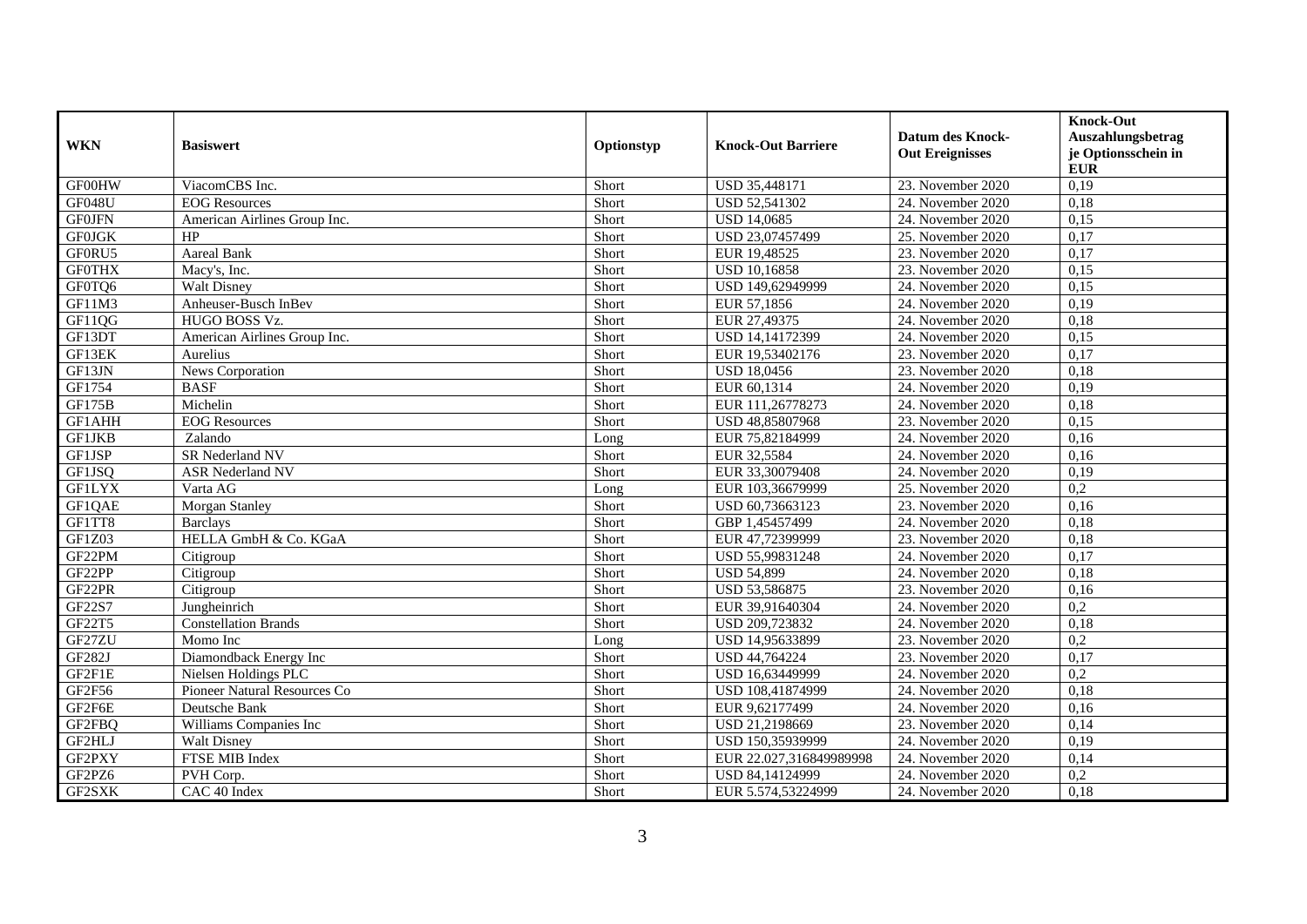| <b>WKN</b>    | <b>Basiswert</b>             | Optionstyp | <b>Knock-Out Barriere</b> | <b>Datum des Knock-</b><br><b>Out Ereignisses</b> | <b>Knock-Out</b><br>Auszahlungsbetrag<br>je Optionsschein in<br><b>EUR</b> |
|---------------|------------------------------|------------|---------------------------|---------------------------------------------------|----------------------------------------------------------------------------|
| GF00HW        | ViacomCBS Inc.               | Short      | USD 35,448171             | 23. November 2020                                 | 0,19                                                                       |
| GF048U        | <b>EOG</b> Resources         | Short      | USD 52,541302             | 24. November 2020                                 | 0,18                                                                       |
| <b>GF0JFN</b> | American Airlines Group Inc. | Short      | <b>USD 14,0685</b>        | 24. November 2020                                 | 0,15                                                                       |
| <b>GF0JGK</b> | HP                           | Short      | USD 23,07457499           | 25. November 2020                                 | 0,17                                                                       |
| GF0RU5        | <b>Aareal Bank</b>           | Short      | EUR 19,48525              | 23. November 2020                                 | 0,17                                                                       |
| <b>GF0THX</b> | Macy's, Inc.                 | Short      | <b>USD 10,16858</b>       | 23. November 2020                                 | 0,15                                                                       |
| GF0TQ6        | <b>Walt Disney</b>           | Short      | USD 149,62949999          | 24. November 2020                                 | 0,15                                                                       |
| GF11M3        | Anheuser-Busch InBev         | Short      | EUR 57,1856               | 24. November 2020                                 | 0,19                                                                       |
| GF11QG        | HUGO BOSS Vz.                | Short      | EUR 27,49375              | 24. November 2020                                 | 0,18                                                                       |
| GF13DT        | American Airlines Group Inc. | Short      | USD 14,14172399           | 24. November 2020                                 | 0,15                                                                       |
| GF13EK        | Aurelius                     | Short      | EUR 19,53402176           | 23. November 2020                                 | 0,17                                                                       |
| GF13JN        | News Corporation             | Short      | <b>USD 18,0456</b>        | 23. November 2020                                 | 0,18                                                                       |
| GF1754        | <b>BASF</b>                  | Short      | EUR 60,1314               | 24. November 2020                                 | 0,19                                                                       |
| <b>GF175B</b> | Michelin                     | Short      | EUR 111,26778273          | 24. November 2020                                 | 0,18                                                                       |
| GF1AHH        | <b>EOG</b> Resources         | Short      | USD 48,85807968           | 23. November 2020                                 | 0,15                                                                       |
| <b>GF1JKB</b> | Zalando                      | Long       | EUR 75,82184999           | 24. November 2020                                 | 0,16                                                                       |
| GF1JSP        | SR Nederland NV              | Short      | EUR 32,5584               | 24. November 2020                                 | 0,16                                                                       |
| GF1JSQ        | <b>ASR Nederland NV</b>      | Short      | EUR 33,30079408           | 24. November 2020                                 | 0,19                                                                       |
| <b>GFILYX</b> | Varta AG                     | Long       | EUR 103,36679999          | 25. November 2020                                 | $\overline{0,2}$                                                           |
| GF1QAE        | <b>Morgan Stanley</b>        | Short      | USD 60,73663123           | 23. November 2020                                 | 0,16                                                                       |
| GF1TT8        | <b>Barclays</b>              | Short      | GBP 1,45457499            | 24. November 2020                                 | 0,18                                                                       |
| GF1Z03        | HELLA GmbH & Co. KGaA        | Short      | EUR 47,72399999           | 23. November 2020                                 | 0,18                                                                       |
| GF22PM        | Citigroup                    | Short      | USD 55,99831248           | 24. November 2020                                 | 0,17                                                                       |
| GF22PP        | Citigroup                    | Short      | <b>USD 54,899</b>         | 24. November 2020                                 | 0.18                                                                       |
| GF22PR        | Citigroup                    | Short      | USD 53,586875             | 23. November 2020                                 | 0,16                                                                       |
| GF22S7        | Jungheinrich                 | Short      | EUR 39,91640304           | 24. November 2020                                 | $\overline{0.2}$                                                           |
| GF22T5        | <b>Constellation Brands</b>  | Short      | USD 209,723832            | 24. November 2020                                 | 0,18                                                                       |
| GF27ZU        | Momo Inc                     | Long       | USD 14,95633899           | 23. November 2020                                 | 0,2                                                                        |
| GF282J        | Diamondback Energy Inc       | Short      | USD 44,764224             | 23. November 2020                                 | 0,17                                                                       |
| GF2F1E        | Nielsen Holdings PLC         | Short      | USD 16,63449999           | 24. November 2020                                 | 0,2                                                                        |
| GF2F56        | Pioneer Natural Resources Co | Short      | USD 108,41874999          | 24. November 2020                                 | 0,18                                                                       |
| GF2F6E        | Deutsche Bank                | Short      | EUR 9,62177499            | 24. November 2020                                 | 0,16                                                                       |
| GF2FBQ        | Williams Companies Inc       | Short      | USD 21,2198669            | 23. November 2020                                 | 0,14                                                                       |
| GF2HLJ        | <b>Walt Disney</b>           | Short      | USD 150,35939999          | 24. November 2020                                 | 0,19                                                                       |
| GF2PXY        | FTSE MIB Index               | Short      | EUR 22.027,316849989998   | 24. November 2020                                 | 0,14                                                                       |
| GF2PZ6        | PVH Corp.                    | Short      | USD 84,14124999           | 24. November 2020                                 | 0,2                                                                        |
| GF2SXK        | CAC 40 Index                 | Short      | EUR 5.574,53224999        | 24. November 2020                                 | 0,18                                                                       |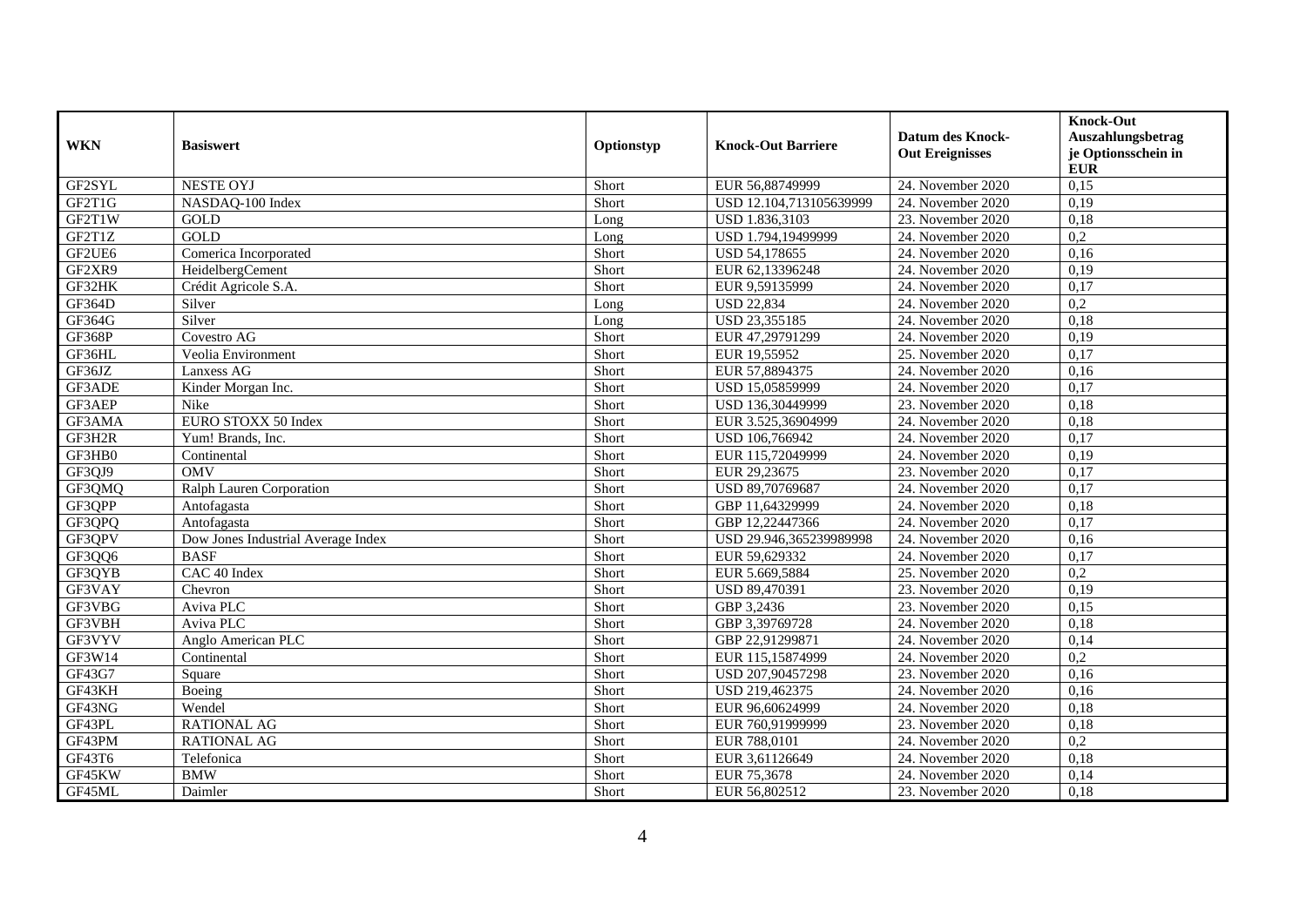| <b>WKN</b>    | <b>Basiswert</b>                   | Optionstyp | <b>Knock-Out Barriere</b> | <b>Datum des Knock-</b><br><b>Out Ereignisses</b> | <b>Knock-Out</b><br>Auszahlungsbetrag<br>je Optionsschein in<br><b>EUR</b> |
|---------------|------------------------------------|------------|---------------------------|---------------------------------------------------|----------------------------------------------------------------------------|
| GF2SYL        | <b>NESTE OYJ</b>                   | Short      | EUR 56,88749999           | 24. November 2020                                 | 0,15                                                                       |
| GF2T1G        | NASDAQ-100 Index                   | Short      | USD 12.104,713105639999   | 24. November 2020                                 | 0,19                                                                       |
| GF2T1W        | GOLD                               | Long       | USD 1.836,3103            | 23. November 2020                                 | 0,18                                                                       |
| GF2T1Z        | <b>GOLD</b>                        | Long       | USD 1.794,19499999        | 24. November 2020                                 | $\overline{0.2}$                                                           |
| GF2UE6        | Comerica Incorporated              | Short      | USD 54,178655             | 24. November 2020                                 | 0,16                                                                       |
| GF2XR9        | HeidelbergCement                   | Short      | EUR 62,13396248           | 24. November 2020                                 | 0,19                                                                       |
| GF32HK        | Crédit Agricole S.A.               | Short      | EUR 9,59135999            | 24. November 2020                                 | 0,17                                                                       |
| GF364D        | Silver                             | Long       | <b>USD 22,834</b>         | 24. November 2020                                 | 0,2                                                                        |
| GF364G        | Silver                             | Long       | USD 23,355185             | 24. November 2020                                 | 0,18                                                                       |
| <b>GF368P</b> | Covestro AG                        | Short      | EUR 47,29791299           | 24. November 2020                                 | 0,19                                                                       |
| GF36HL        | Veolia Environment                 | Short      | EUR 19,55952              | 25. November 2020                                 | 0,17                                                                       |
| GF36JZ        | Lanxess AG                         | Short      | EUR 57,8894375            | 24. November 2020                                 | 0,16                                                                       |
| GF3ADE        | Kinder Morgan Inc.                 | Short      | USD 15,05859999           | 24. November 2020                                 | 0,17                                                                       |
| GF3AEP        | Nike                               | Short      | USD 136,30449999          | 23. November 2020                                 | 0,18                                                                       |
| GF3AMA        | EURO STOXX 50 Index                | Short      | EUR 3.525,36904999        | 24. November 2020                                 | 0,18                                                                       |
| GF3H2R        | Yum! Brands, Inc.                  | Short      | USD 106,766942            | 24. November 2020                                 | 0,17                                                                       |
| GF3HB0        | Continental                        | Short      | EUR 115,72049999          | 24. November 2020                                 | 0,19                                                                       |
| GF3QJ9        | <b>OMV</b>                         | Short      | EUR 29,23675              | 23. November 2020                                 | 0,17                                                                       |
| GF3QMQ        | Ralph Lauren Corporation           | Short      | USD 89,70769687           | 24. November 2020                                 | 0,17                                                                       |
| GF3QPP        | Antofagasta                        | Short      | GBP 11,64329999           | 24. November 2020                                 | 0,18                                                                       |
| GF3QPQ        | Antofagasta                        | Short      | GBP 12,22447366           | 24. November 2020                                 | 0,17                                                                       |
| GF3QPV        | Dow Jones Industrial Average Index | Short      | USD 29.946,365239989998   | 24. November 2020                                 | 0,16                                                                       |
| GF3QQ6        | <b>BASF</b>                        | Short      | EUR 59,629332             | 24. November 2020                                 | 0,17                                                                       |
| GF3QYB        | CAC 40 Index                       | Short      | EUR 5.669,5884            | 25. November 2020                                 | 0,2                                                                        |
| GF3VAY        | Chevron                            | Short      | USD 89,470391             | 23. November 2020                                 | 0,19                                                                       |
| GF3VBG        | Aviva PLC                          | Short      | GBP 3,2436                | 23. November 2020                                 | 0,15                                                                       |
| GF3VBH        | Aviva PLC                          | Short      | GBP 3,39769728            | 24. November 2020                                 | 0,18                                                                       |
| GF3VYV        | Anglo American PLC                 | Short      | GBP 22,91299871           | 24. November 2020                                 | 0,14                                                                       |
| GF3W14        | Continental                        | Short      | EUR 115,15874999          | 24. November 2020                                 | $\overline{0,2}$                                                           |
| GF43G7        | Square                             | Short      | USD 207,90457298          | 23. November 2020                                 | 0,16                                                                       |
| GF43KH        | Boeing                             | Short      | USD 219,462375            | 24. November 2020                                 | 0,16                                                                       |
| GF43NG        | Wendel                             | Short      | EUR 96,60624999           | 24. November 2020                                 | 0,18                                                                       |
| GF43PL        | <b>RATIONAL AG</b>                 | Short      | EUR 760,91999999          | 23. November 2020                                 | 0,18                                                                       |
| GF43PM        | <b>RATIONAL AG</b>                 | Short      | EUR 788,0101              | 24. November 2020                                 | 0,2                                                                        |
| GF43T6        | Telefonica                         | Short      | EUR 3,61126649            | 24. November 2020                                 | 0,18                                                                       |
| GF45KW        | <b>BMW</b>                         | Short      | EUR 75,3678               | 24. November 2020                                 | 0,14                                                                       |
| GF45ML        | Daimler                            | Short      | EUR 56,802512             | 23. November 2020                                 | 0,18                                                                       |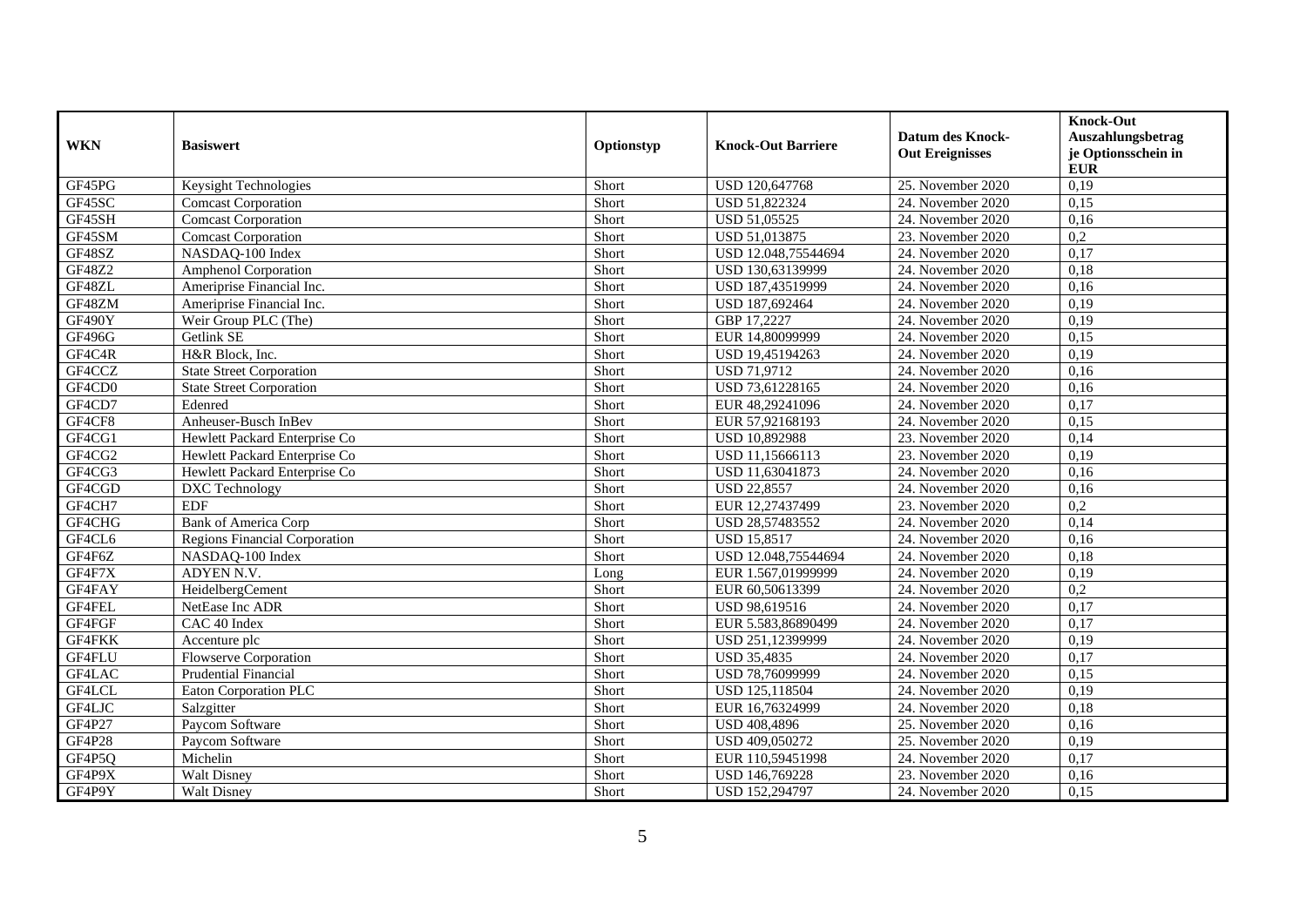| <b>WKN</b> | <b>Basiswert</b>                     | Optionstyp | <b>Knock-Out Barriere</b> | <b>Datum des Knock-</b><br><b>Out Ereignisses</b> | <b>Knock-Out</b><br>Auszahlungsbetrag<br>je Optionsschein in<br><b>EUR</b> |
|------------|--------------------------------------|------------|---------------------------|---------------------------------------------------|----------------------------------------------------------------------------|
| GF45PG     | Keysight Technologies                | Short      | USD 120,647768            | 25. November 2020                                 | 0,19                                                                       |
| GF45SC     | <b>Comcast Corporation</b>           | Short      | USD 51,822324             | 24. November 2020                                 | 0,15                                                                       |
| GF45SH     | <b>Comcast Corporation</b>           | Short      | USD 51,05525              | 24. November 2020                                 | 0,16                                                                       |
| GF45SM     | <b>Comcast Corporation</b>           | Short      | USD 51,013875             | 23. November 2020                                 | $\overline{0.2}$                                                           |
| GF48SZ     | NASDAQ-100 Index                     | Short      | USD 12.048,75544694       | 24. November 2020                                 | 0,17                                                                       |
| GF48Z2     | <b>Amphenol Corporation</b>          | Short      | USD 130,63139999          | 24. November 2020                                 | 0,18                                                                       |
| GF48ZL     | Ameriprise Financial Inc.            | Short      | USD 187,43519999          | 24. November 2020                                 | 0,16                                                                       |
| GF48ZM     | Ameriprise Financial Inc.            | Short      | USD 187,692464            | 24. November 2020                                 | 0,19                                                                       |
| GF490Y     | Weir Group PLC (The)                 | Short      | GBP 17,2227               | 24. November 2020                                 | 0,19                                                                       |
| GF496G     | Getlink SE                           | Short      | EUR 14,80099999           | 24. November 2020                                 | 0,15                                                                       |
| GF4C4R     | H&R Block, Inc.                      | Short      | USD 19,45194263           | 24. November 2020                                 | 0,19                                                                       |
| GF4CCZ     | <b>State Street Corporation</b>      | Short      | <b>USD 71,9712</b>        | 24. November 2020                                 | 0,16                                                                       |
| GF4CD0     | <b>State Street Corporation</b>      | Short      | USD 73,61228165           | 24. November 2020                                 | 0,16                                                                       |
| GF4CD7     | Edenred                              | Short      | EUR 48,29241096           | 24. November 2020                                 | 0,17                                                                       |
| GF4CF8     | Anheuser-Busch InBev                 | Short      | EUR 57,92168193           | 24. November 2020                                 | 0,15                                                                       |
| GF4CG1     | Hewlett Packard Enterprise Co        | Short      | USD 10,892988             | 23. November 2020                                 | 0,14                                                                       |
| GF4CG2     | Hewlett Packard Enterprise Co        | Short      | USD 11,15666113           | 23. November 2020                                 | 0,19                                                                       |
| GF4CG3     | Hewlett Packard Enterprise Co        | Short      | USD 11,63041873           | 24. November 2020                                 | 0,16                                                                       |
| GF4CGD     | DXC Technology                       | Short      | <b>USD 22,8557</b>        | 24. November 2020                                 | 0,16                                                                       |
| GF4CH7     | <b>EDF</b>                           | Short      | EUR 12,27437499           | 23. November 2020                                 | 0,2                                                                        |
| GF4CHG     | <b>Bank of America Corp</b>          | Short      | USD 28,57483552           | 24. November 2020                                 | 0,14                                                                       |
| GF4CL6     | <b>Regions Financial Corporation</b> | Short      | <b>USD 15,8517</b>        | 24. November 2020                                 | 0,16                                                                       |
| GF4F6Z     | NASDAQ-100 Index                     | Short      | USD 12.048,75544694       | 24. November 2020                                 | 0,18                                                                       |
| GF4F7X     | ADYEN N.V.                           | Long       | EUR 1.567,01999999        | 24. November 2020                                 | 0,19                                                                       |
| GF4FAY     | HeidelbergCement                     | Short      | EUR 60,50613399           | 24. November 2020                                 | 0,2                                                                        |
| GF4FEL     | NetEase Inc ADR                      | Short      | USD 98,619516             | 24. November 2020                                 | 0,17                                                                       |
| GF4FGF     | CAC 40 Index                         | Short      | EUR 5.583,86890499        | 24. November 2020                                 | 0,17                                                                       |
| GF4FKK     | Accenture plc                        | Short      | USD 251,12399999          | 24. November 2020                                 | 0,19                                                                       |
| GF4FLU     | Flowserve Corporation                | Short      | <b>USD 35,4835</b>        | 24. November 2020                                 | 0,17                                                                       |
| GF4LAC     | <b>Prudential Financial</b>          | Short      | USD 78,76099999           | 24. November 2020                                 | 0,15                                                                       |
| GF4LCL     | Eaton Corporation PLC                | Short      | USD 125,118504            | 24. November 2020                                 | 0,19                                                                       |
| GF4LJC     | Salzgitter                           | Short      | EUR 16,76324999           | 24. November 2020                                 | 0,18                                                                       |
| GF4P27     | Paycom Software                      | Short      | <b>USD 408,4896</b>       | 25. November 2020                                 | 0,16                                                                       |
| GF4P28     | Paycom Software                      | Short      | USD 409,050272            | 25. November 2020                                 | 0,19                                                                       |
| GF4P5Q     | Michelin                             | Short      | EUR 110,59451998          | 24. November 2020                                 | 0,17                                                                       |
| GF4P9X     | Walt Disney                          | Short      | USD 146,769228            | 23. November 2020                                 | 0,16                                                                       |
| GF4P9Y     | Walt Disney                          | Short      | USD 152,294797            | 24. November 2020                                 | 0,15                                                                       |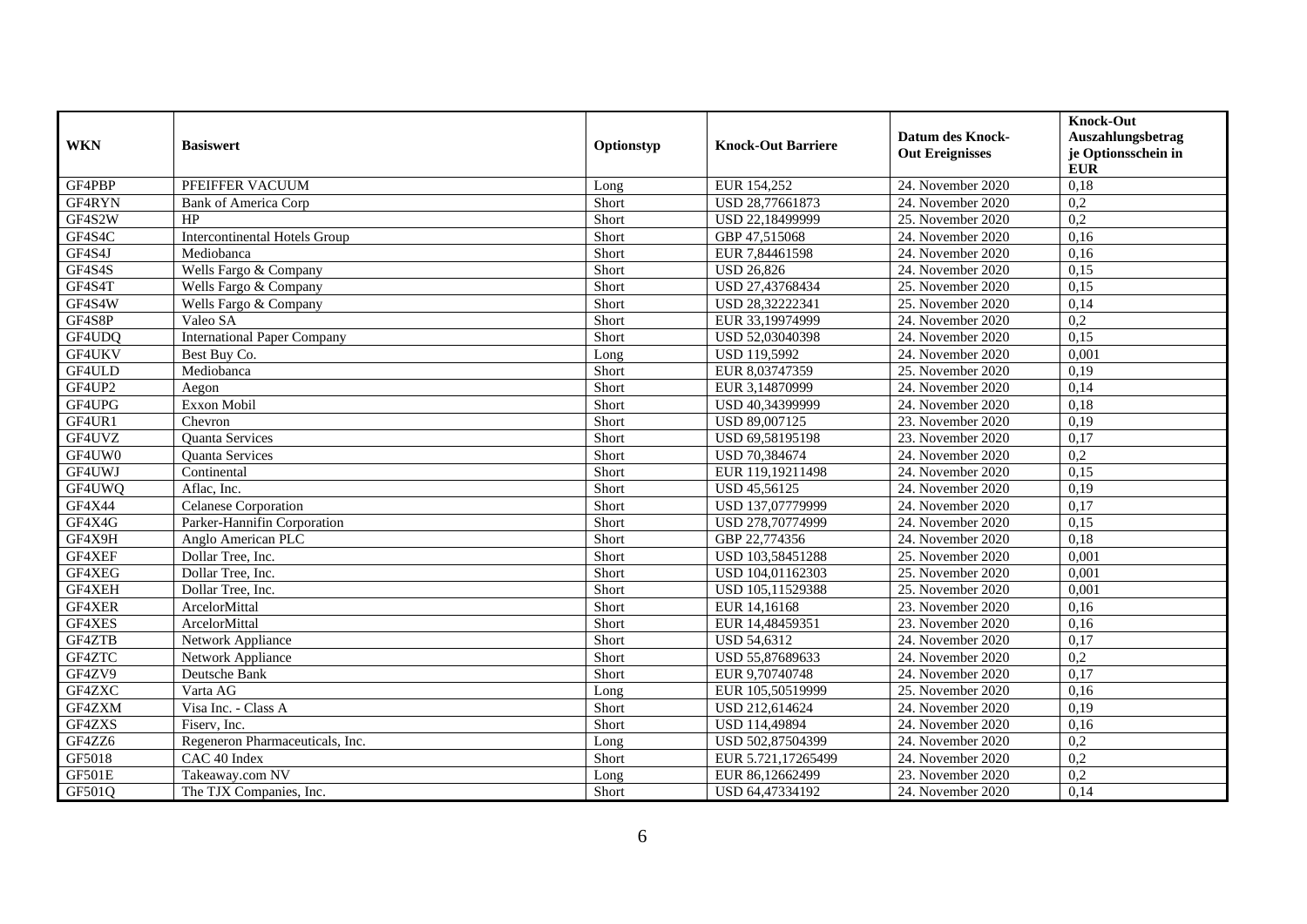| <b>WKN</b> | <b>Basiswert</b>                     | Optionstyp | <b>Knock-Out Barriere</b> | <b>Datum des Knock-</b><br><b>Out Ereignisses</b> | <b>Knock-Out</b><br>Auszahlungsbetrag<br>je Optionsschein in<br><b>EUR</b> |
|------------|--------------------------------------|------------|---------------------------|---------------------------------------------------|----------------------------------------------------------------------------|
| GF4PBP     | PFEIFFER VACUUM                      | Long       | EUR 154,252               | 24. November 2020                                 | 0,18                                                                       |
| GF4RYN     | <b>Bank of America Corp</b>          | Short      | USD 28,77661873           | 24. November 2020                                 | 0,2                                                                        |
| GF4S2W     | HP                                   | Short      | USD 22,18499999           | 25. November 2020                                 | 0,2                                                                        |
| GF4S4C     | <b>Intercontinental Hotels Group</b> | Short      | GBP 47,515068             | 24. November 2020                                 | 0,16                                                                       |
| GF4S4J     | Mediobanca                           | Short      | EUR 7,84461598            | 24. November 2020                                 | 0,16                                                                       |
| GF4S4S     | Wells Fargo & Company                | Short      | <b>USD 26,826</b>         | 24. November 2020                                 | 0,15                                                                       |
| GF4S4T     | Wells Fargo & Company                | Short      | USD 27,43768434           | 25. November 2020                                 | 0.15                                                                       |
| GF4S4W     | Wells Fargo & Company                | Short      | USD 28,32222341           | 25. November 2020                                 | 0,14                                                                       |
| GF4S8P     | Valeo SA                             | Short      | EUR 33,19974999           | 24. November 2020                                 | 0,2                                                                        |
| GF4UDQ     | <b>International Paper Company</b>   | Short      | USD 52,03040398           | 24. November 2020                                 | 0,15                                                                       |
| GF4UKV     | Best Buy Co.                         | Long       | <b>USD 119,5992</b>       | 24. November 2020                                 | 0,001                                                                      |
| GF4ULD     | Mediobanca                           | Short      | EUR 8,03747359            | 25. November 2020                                 | 0,19                                                                       |
| GF4UP2     | Aegon                                | Short      | EUR 3,14870999            | 24. November 2020                                 | 0,14                                                                       |
| GF4UPG     | Exxon Mobil                          | Short      | USD 40,34399999           | 24. November 2020                                 | 0,18                                                                       |
| GF4UR1     | Chevron                              | Short      | USD 89,007125             | 23. November 2020                                 | 0,19                                                                       |
| GF4UVZ     | Quanta Services                      | Short      | USD 69,58195198           | 23. November 2020                                 | 0,17                                                                       |
| GF4UW0     | <b>Ouanta Services</b>               | Short      | USD 70,384674             | 24. November 2020                                 | $\overline{0,2}$                                                           |
| GF4UWJ     | Continental                          | Short      | EUR 119,19211498          | 24. November 2020                                 | 0,15                                                                       |
| GF4UWQ     | Aflac, Inc.                          | Short      | USD 45,56125              | 24. November 2020                                 | 0,19                                                                       |
| GF4X44     | Celanese Corporation                 | Short      | USD 137,07779999          | 24. November 2020                                 | 0,17                                                                       |
| GF4X4G     | Parker-Hannifin Corporation          | Short      | USD 278,70774999          | 24. November 2020                                 | 0,15                                                                       |
| GF4X9H     | Anglo American PLC                   | Short      | GBP 22,774356             | 24. November 2020                                 | 0,18                                                                       |
| GF4XEF     | Dollar Tree, Inc.                    | Short      | USD 103,58451288          | 25. November 2020                                 | 0,001                                                                      |
| GF4XEG     | Dollar Tree, Inc.                    | Short      | USD 104,01162303          | 25. November 2020                                 | 0,001                                                                      |
| GF4XEH     | Dollar Tree, Inc.                    | Short      | USD 105,11529388          | 25. November 2020                                 | 0,001                                                                      |
| GF4XER     | ArcelorMittal                        | Short      | EUR 14,16168              | 23. November 2020                                 | 0,16                                                                       |
| GF4XES     | ArcelorMittal                        | Short      | EUR 14,48459351           | 23. November 2020                                 | 0,16                                                                       |
| GF4ZTB     | Network Appliance                    | Short      | <b>USD 54,6312</b>        | 24. November 2020                                 | 0,17                                                                       |
| GF4ZTC     | Network Appliance                    | Short      | USD 55,87689633           | 24. November 2020                                 | 0,2                                                                        |
| GF4ZV9     | Deutsche Bank                        | Short      | EUR 9,70740748            | 24. November 2020                                 | 0,17                                                                       |
| GF4ZXC     | Varta AG                             | Long       | EUR 105,50519999          | 25. November 2020                                 | 0,16                                                                       |
| GF4ZXM     | Visa Inc. - Class A                  | Short      | USD 212,614624            | 24. November 2020                                 | 0,19                                                                       |
| GF4ZXS     | Fisery, Inc.                         | Short      | USD 114,49894             | 24. November 2020                                 | 0,16                                                                       |
| GF4ZZ6     | Regeneron Pharmaceuticals, Inc.      | Long       | USD 502,87504399          | 24. November 2020                                 | 0,2                                                                        |
| GF5018     | CAC 40 Index                         | Short      | EUR 5.721,17265499        | 24. November 2020                                 | 0,2                                                                        |
| GF501E     | Takeaway.com NV                      | Long       | EUR 86,12662499           | 23. November 2020                                 | 0,2                                                                        |
| GF501Q     | The TJX Companies, Inc.              | Short      | USD 64,47334192           | 24. November 2020                                 | 0,14                                                                       |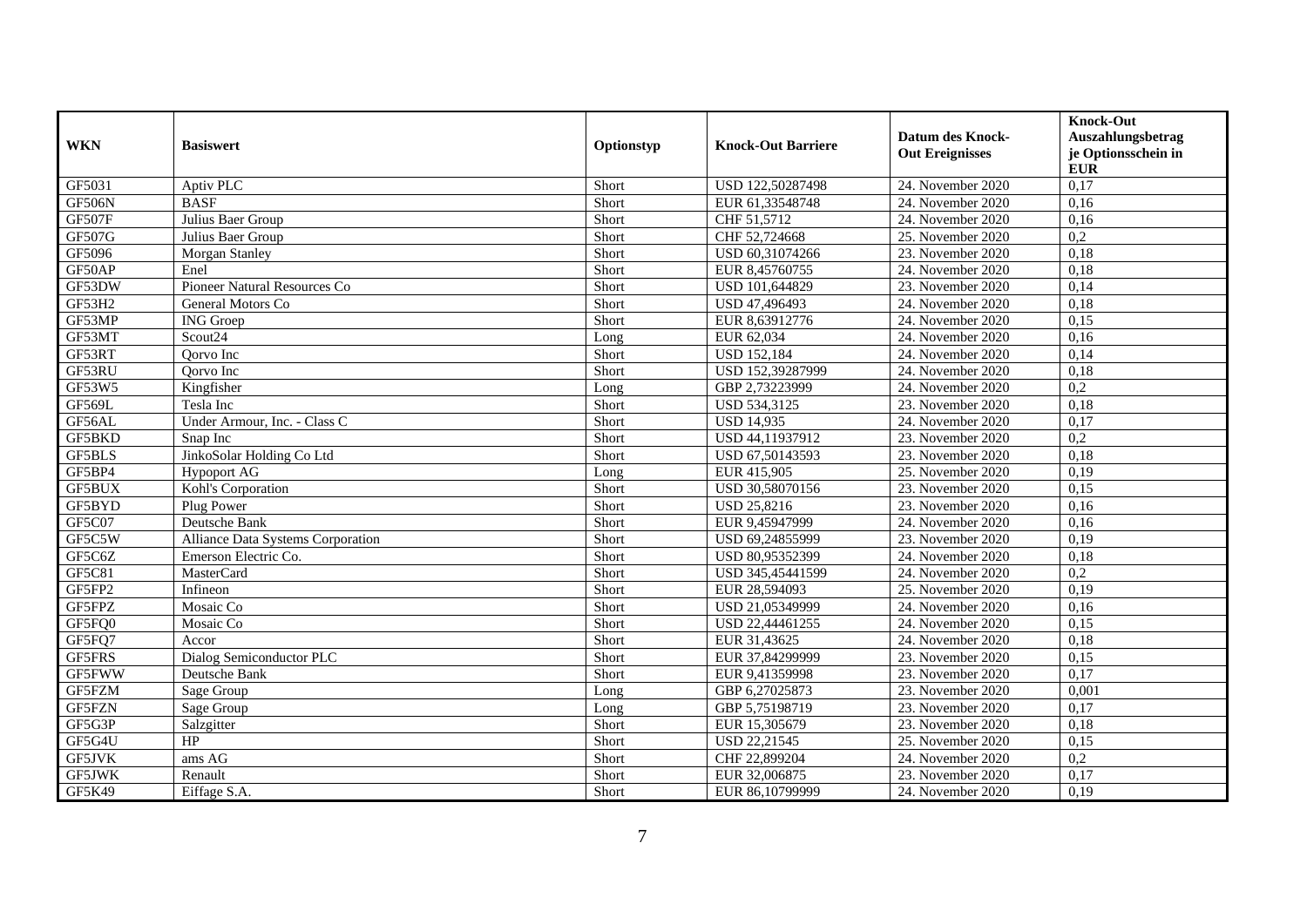| <b>WKN</b>    | <b>Basiswert</b>                  | Optionstyp | <b>Knock-Out Barriere</b> | <b>Datum des Knock-</b><br><b>Out Ereignisses</b> | <b>Knock-Out</b><br>Auszahlungsbetrag<br>je Optionsschein in<br><b>EUR</b> |
|---------------|-----------------------------------|------------|---------------------------|---------------------------------------------------|----------------------------------------------------------------------------|
| GF5031        | Aptiv PLC                         | Short      | USD 122,50287498          | 24. November 2020                                 | 0,17                                                                       |
| GF506N        | <b>BASF</b>                       | Short      | EUR 61,33548748           | 24. November 2020                                 | 0,16                                                                       |
| GF507F        | Julius Baer Group                 | Short      | CHF 51,5712               | 24. November 2020                                 | 0.16                                                                       |
| GF507G        | Julius Baer Group                 | Short      | CHF 52,724668             | 25. November 2020                                 | 0,2                                                                        |
| GF5096        | <b>Morgan Stanley</b>             | Short      | USD 60,31074266           | 23. November 2020                                 | 0,18                                                                       |
| GF50AP        | Enel                              | Short      | EUR 8,45760755            | 24. November 2020                                 | 0,18                                                                       |
| GF53DW        | Pioneer Natural Resources Co      | Short      | USD 101,644829            | 23. November 2020                                 | 0,14                                                                       |
| GF53H2        | General Motors Co                 | Short      | USD 47,496493             | 24. November 2020                                 | 0,18                                                                       |
| GF53MP        | <b>ING</b> Groep                  | Short      | EUR 8,63912776            | 24. November 2020                                 | 0,15                                                                       |
| GF53MT        | Scout <sub>24</sub>               | Long       | EUR 62,034                | 24. November 2020                                 | 0,16                                                                       |
| GF53RT        | Oorvo Inc                         | Short      | <b>USD 152,184</b>        | 24. November 2020                                 | 0,14                                                                       |
| GF53RU        | Oorvo Inc                         | Short      | USD 152,39287999          | 24. November 2020                                 | 0,18                                                                       |
| GF53W5        | Kingfisher                        | Long       | GBP 2,73223999            | 24. November 2020                                 | $\overline{0,2}$                                                           |
| GF569L        | Tesla Inc                         | Short      | USD 534,3125              | 23. November 2020                                 | 0,18                                                                       |
| GF56AL        | Under Armour, Inc. - Class C      | Short      | <b>USD 14,935</b>         | 24. November 2020                                 | 0,17                                                                       |
| GF5BKD        | Snap Inc                          | Short      | USD 44,11937912           | 23. November 2020                                 | $\overline{0,2}$                                                           |
| <b>GF5BLS</b> | JinkoSolar Holding Co Ltd         | Short      | USD 67,50143593           | 23. November 2020                                 | 0,18                                                                       |
| GF5BP4        | <b>Hypoport AG</b>                | Long       | EUR 415,905               | 25. November 2020                                 | 0,19                                                                       |
| GF5BUX        | Kohl's Corporation                | Short      | USD 30,58070156           | 23. November 2020                                 | 0,15                                                                       |
| GF5BYD        | Plug Power                        | Short      | USD 25,8216               | 23. November 2020                                 | 0,16                                                                       |
| GF5C07        | Deutsche Bank                     | Short      | EUR 9,45947999            | 24. November 2020                                 | 0,16                                                                       |
| GF5C5W        | Alliance Data Systems Corporation | Short      | USD 69,24855999           | 23. November 2020                                 | 0,19                                                                       |
| GF5C6Z        | Emerson Electric Co.              | Short      | USD 80,95352399           | 24. November 2020                                 | 0,18                                                                       |
| GF5C81        | MasterCard                        | Short      | USD 345,45441599          | 24. November 2020                                 | 0,2                                                                        |
| GF5FP2        | Infineon                          | Short      | EUR 28,594093             | 25. November 2020                                 | 0,19                                                                       |
| GF5FPZ        | Mosaic Co                         | Short      | USD 21,05349999           | 24. November 2020                                 | 0,16                                                                       |
| GF5FQ0        | Mosaic Co                         | Short      | USD 22,44461255           | 24. November 2020                                 | 0,15                                                                       |
| GF5FQ7        | Accor                             | Short      | EUR 31,43625              | 24. November 2020                                 | 0,18                                                                       |
| GF5FRS        | Dialog Semiconductor PLC          | Short      | EUR 37,84299999           | 23. November 2020                                 | 0,15                                                                       |
| GF5FWW        | Deutsche Bank                     | Short      | EUR 9,41359998            | 23. November 2020                                 | 0,17                                                                       |
| GF5FZM        | Sage Group                        | Long       | GBP 6,27025873            | 23. November 2020                                 | 0,001                                                                      |
| <b>GF5FZN</b> | Sage Group                        | Long       | GBP 5,75198719            | 23. November 2020                                 | 0,17                                                                       |
| GF5G3P        | Salzgitter                        | Short      | EUR 15,305679             | 23. November 2020                                 | 0,18                                                                       |
| GF5G4U        | HP                                | Short      | <b>USD 22,21545</b>       | 25. November 2020                                 | 0,15                                                                       |
| <b>GF5JVK</b> | ams AG                            | Short      | CHF 22,899204             | 24. November 2020                                 | 0,2                                                                        |
| GF5JWK        | Renault                           | Short      | EUR 32,006875             | 23. November 2020                                 | 0,17                                                                       |
| GF5K49        | Eiffage S.A.                      | Short      | EUR 86,10799999           | 24. November 2020                                 | 0,19                                                                       |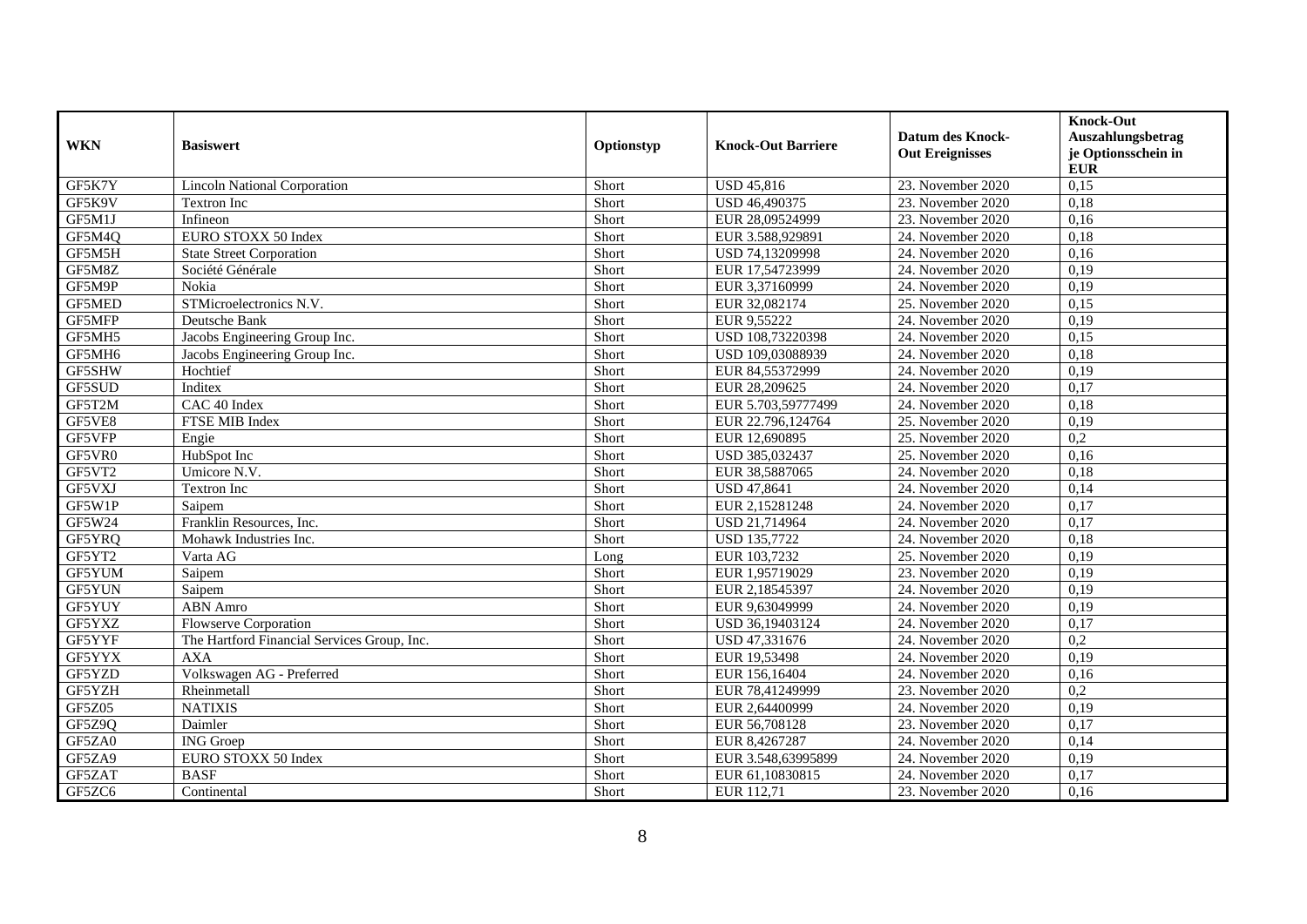| <b>WKN</b>         | <b>Basiswert</b>                            | Optionstyp | <b>Knock-Out Barriere</b> | <b>Datum des Knock-</b><br><b>Out Ereignisses</b> | <b>Knock-Out</b><br>Auszahlungsbetrag<br>je Optionsschein in<br><b>EUR</b> |
|--------------------|---------------------------------------------|------------|---------------------------|---------------------------------------------------|----------------------------------------------------------------------------|
| GF5K7Y             | <b>Lincoln National Corporation</b>         | Short      | <b>USD 45,816</b>         | 23. November 2020                                 | 0,15                                                                       |
| GF5K9V             | Textron Inc                                 | Short      | USD 46,490375             | 23. November 2020                                 | 0,18                                                                       |
| GF5M1J             | Infineon                                    | Short      | EUR 28,09524999           | 23. November 2020                                 | 0.16                                                                       |
| GF5M4Q             | EURO STOXX 50 Index                         | Short      | EUR 3.588,929891          | 24. November 2020                                 | 0,18                                                                       |
| GF5M5H             | <b>State Street Corporation</b>             | Short      | USD 74,13209998           | 24. November 2020                                 | 0,16                                                                       |
| GF5M8Z             | Société Générale                            | Short      | EUR 17,54723999           | 24. November 2020                                 | 0,19                                                                       |
| GF5M9P             | Nokia                                       | Short      | EUR 3,37160999            | 24. November 2020                                 | 0,19                                                                       |
| <b>GF5MED</b>      | STMicroelectronics N.V.                     | Short      | EUR 32,082174             | 25. November 2020                                 | 0,15                                                                       |
| GF5MFP             | Deutsche Bank                               | Short      | EUR 9,55222               | 24. November 2020                                 | 0,19                                                                       |
| GF5MH5             | Jacobs Engineering Group Inc.               | Short      | USD 108,73220398          | 24. November 2020                                 | 0,15                                                                       |
| GF5MH <sub>6</sub> | Jacobs Engineering Group Inc.               | Short      | USD 109,03088939          | 24. November 2020                                 | 0.18                                                                       |
| GF5SHW             | Hochtief                                    | Short      | EUR 84,55372999           | 24. November 2020                                 | 0,19                                                                       |
| GF5SUD             | Inditex                                     | Short      | EUR 28,209625             | 24. November 2020                                 | 0,17                                                                       |
| GF5T2M             | CAC 40 Index                                | Short      | EUR 5.703,59777499        | 24. November 2020                                 | 0,18                                                                       |
| GF5VE8             | FTSE MIB Index                              | Short      | EUR 22.796,124764         | 25. November 2020                                 | 0,19                                                                       |
| GF5VFP             | Engie                                       | Short      | EUR 12,690895             | 25. November 2020                                 | $\overline{0,2}$                                                           |
| GF5VR0             | HubSpot Inc                                 | Short      | USD 385,032437            | 25. November 2020                                 | 0,16                                                                       |
| GF5VT2             | Umicore N.V.                                | Short      | EUR 38,5887065            | 24. November 2020                                 | 0,18                                                                       |
| GF5VXJ             | <b>Textron Inc</b>                          | Short      | USD 47,8641               | 24. November 2020                                 | 0,14                                                                       |
| GF5W1P             | Saipem                                      | Short      | EUR 2,15281248            | 24. November 2020                                 | 0,17                                                                       |
| GF5W24             | Franklin Resources, Inc.                    | Short      | USD 21,714964             | 24. November 2020                                 | 0,17                                                                       |
| GF5YRQ             | Mohawk Industries Inc.                      | Short      | USD 135,7722              | 24. November 2020                                 | 0,18                                                                       |
| GF5YT2             | Varta AG                                    | Long       | EUR 103,7232              | 25. November 2020                                 | 0,19                                                                       |
| GF5YUM             | Saipem                                      | Short      | EUR 1,95719029            | 23. November 2020                                 | 0,19                                                                       |
| GF5YUN             | Saipem                                      | Short      | EUR 2,18545397            | 24. November 2020                                 | 0,19                                                                       |
| GF5YUY             | <b>ABN</b> Amro                             | Short      | EUR 9,63049999            | 24. November 2020                                 | 0,19                                                                       |
| GF5YXZ             | Flowserve Corporation                       | Short      | USD 36,19403124           | 24. November 2020                                 | 0,17                                                                       |
| GF5YYF             | The Hartford Financial Services Group, Inc. | Short      | USD 47,331676             | 24. November 2020                                 | 0,2                                                                        |
| GF5YYX             | <b>AXA</b>                                  | Short      | EUR 19,53498              | 24. November 2020                                 | 0,19                                                                       |
| GF5YZD             | Volkswagen AG - Preferred                   | Short      | EUR 156,16404             | 24. November 2020                                 | 0,16                                                                       |
| GF5YZH             | Rheinmetall                                 | Short      | EUR 78,41249999           | 23. November 2020                                 | 0,2                                                                        |
| <b>GF5Z05</b>      | <b>NATIXIS</b>                              | Short      | EUR 2,64400999            | 24. November 2020                                 | 0,19                                                                       |
| GF5Z9Q             | Daimler                                     | Short      | EUR 56,708128             | 23. November 2020                                 | 0,17                                                                       |
| GF5ZA0             | <b>ING</b> Groep                            | Short      | EUR 8,4267287             | 24. November 2020                                 | 0,14                                                                       |
| GF5ZA9             | EURO STOXX 50 Index                         | Short      | EUR 3.548,63995899        | 24. November 2020                                 | 0,19                                                                       |
| GF5ZAT             | <b>BASF</b>                                 | Short      | EUR 61,10830815           | 24. November 2020                                 | 0,17                                                                       |
| GF5ZC6             | Continental                                 | Short      | EUR 112,71                | 23. November 2020                                 | 0,16                                                                       |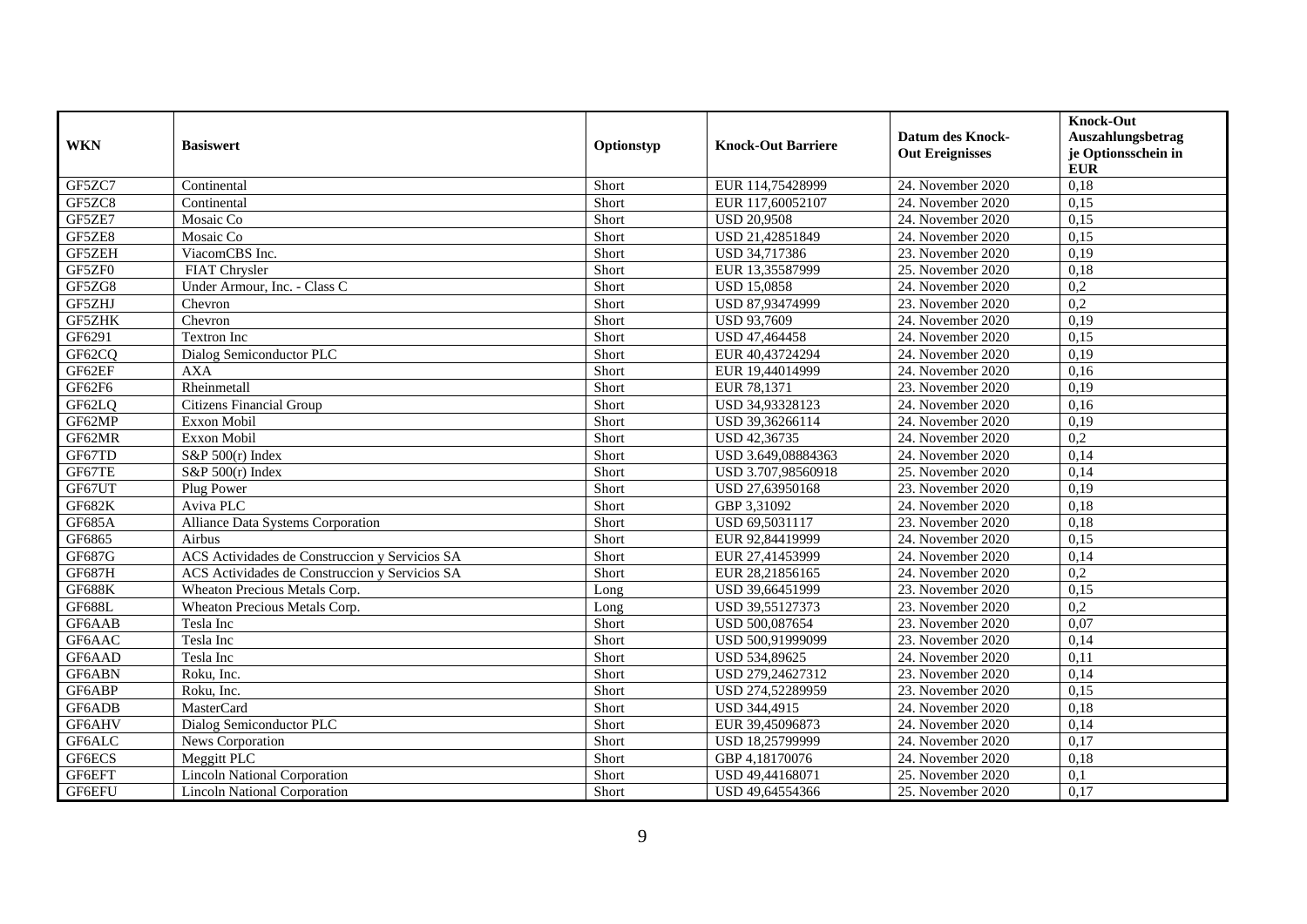| <b>WKN</b>    | <b>Basiswert</b>                               | Optionstyp | <b>Knock-Out Barriere</b> | <b>Datum des Knock-</b><br><b>Out Ereignisses</b> | <b>Knock-Out</b><br>Auszahlungsbetrag<br>je Optionsschein in<br><b>EUR</b> |
|---------------|------------------------------------------------|------------|---------------------------|---------------------------------------------------|----------------------------------------------------------------------------|
| GF5ZC7        | Continental                                    | Short      | EUR 114,75428999          | 24. November 2020                                 | 0,18                                                                       |
| GF5ZC8        | Continental                                    | Short      | EUR 117,60052107          | 24. November 2020                                 | 0,15                                                                       |
| GF5ZE7        | Mosaic Co                                      | Short      | <b>USD 20,9508</b>        | 24. November 2020                                 | 0,15                                                                       |
| GF5ZE8        | Mosaic Co                                      | Short      | USD 21,42851849           | 24. November 2020                                 | 0,15                                                                       |
| GF5ZEH        | ViacomCBS Inc.                                 | Short      | USD 34,717386             | 23. November 2020                                 | 0,19                                                                       |
| GF5ZF0        | <b>FIAT Chrysler</b>                           | Short      | EUR 13,35587999           | 25. November 2020                                 | 0,18                                                                       |
| GF5ZG8        | Under Armour, Inc. - Class C                   | Short      | <b>USD 15,0858</b>        | 24. November 2020                                 | $\overline{0.2}$                                                           |
| GF5ZHJ        | Chevron                                        | Short      | USD 87,93474999           | 23. November 2020                                 | 0,2                                                                        |
| GF5ZHK        | Chevron                                        | Short      | <b>USD 93,7609</b>        | 24. November 2020                                 | 0,19                                                                       |
| GF6291        | Textron Inc                                    | Short      | USD 47,464458             | 24. November 2020                                 | 0,15                                                                       |
| GF62CQ        | Dialog Semiconductor PLC                       | Short      | EUR 40,43724294           | 24. November 2020                                 | 0,19                                                                       |
| GF62EF        | <b>AXA</b>                                     | Short      | EUR 19,44014999           | 24. November 2020                                 | 0,16                                                                       |
| GF62F6        | Rheinmetall                                    | Short      | EUR 78.1371               | 23. November 2020                                 | 0.19                                                                       |
| GF62LQ        | <b>Citizens Financial Group</b>                | Short      | USD 34,93328123           | 24. November 2020                                 | 0,16                                                                       |
| GF62MP        | Exxon Mobil                                    | Short      | USD 39,36266114           | 24. November 2020                                 | 0,19                                                                       |
| GF62MR        | Exxon Mobil                                    | Short      | USD 42,36735              | 24. November 2020                                 | $\overline{0,2}$                                                           |
| GF67TD        | S&P 500(r) Index                               | Short      | USD 3.649,08884363        | 24. November 2020                                 | 0,14                                                                       |
| GF67TE        | $S\&P 500(r)$ Index                            | Short      | USD 3.707,98560918        | 25. November 2020                                 | 0,14                                                                       |
| GF67UT        | Plug Power                                     | Short      | USD 27,63950168           | 23. November 2020                                 | 0,19                                                                       |
| GF682K        | Aviva PLC                                      | Short      | GBP 3,31092               | 24. November 2020                                 | 0,18                                                                       |
| <b>GF685A</b> | Alliance Data Systems Corporation              | Short      | USD 69,5031117            | 23. November 2020                                 | 0,18                                                                       |
| GF6865        | Airbus                                         | Short      | EUR 92,84419999           | 24. November 2020                                 | 0,15                                                                       |
| GF687G        | ACS Actividades de Construccion y Servicios SA | Short      | EUR 27,41453999           | 24. November 2020                                 | 0,14                                                                       |
| <b>GF687H</b> | ACS Actividades de Construccion y Servicios SA | Short      | EUR 28,21856165           | 24. November 2020                                 | 0,2                                                                        |
| <b>GF688K</b> | Wheaton Precious Metals Corp.                  | Long       | USD 39,66451999           | 23. November 2020                                 | 0,15                                                                       |
| <b>GF688L</b> | Wheaton Precious Metals Corp.                  | Long       | USD 39,55127373           | 23. November 2020                                 | 0,2                                                                        |
| GF6AAB        | Tesla Inc                                      | Short      | USD 500,087654            | 23. November 2020                                 | 0,07                                                                       |
| GF6AAC        | Tesla Inc                                      | Short      | USD 500,91999099          | 23. November 2020                                 | 0,14                                                                       |
| GF6AAD        | Tesla Inc                                      | Short      | USD 534,89625             | 24. November 2020                                 | 0.11                                                                       |
| GF6ABN        | Roku, Inc.                                     | Short      | USD 279,24627312          | 23. November 2020                                 | 0,14                                                                       |
| GF6ABP        | Roku, Inc.                                     | Short      | USD 274,52289959          | 23. November 2020                                 | 0,15                                                                       |
| GF6ADB        | MasterCard                                     | Short      | <b>USD 344,4915</b>       | 24. November 2020                                 | 0,18                                                                       |
| GF6AHV        | Dialog Semiconductor PLC                       | Short      | EUR 39,45096873           | 24. November 2020                                 | 0,14                                                                       |
| GF6ALC        | News Corporation                               | Short      | USD 18,25799999           | 24. November 2020                                 | 0,17                                                                       |
| GF6ECS        | Meggitt PLC                                    | Short      | GBP 4,18170076            | 24. November 2020                                 | 0,18                                                                       |
| GF6EFT        | <b>Lincoln National Corporation</b>            | Short      | USD 49,44168071           | 25. November 2020                                 | 0,1                                                                        |
| GF6EFU        | <b>Lincoln National Corporation</b>            | Short      | USD 49,64554366           | 25. November 2020                                 | 0,17                                                                       |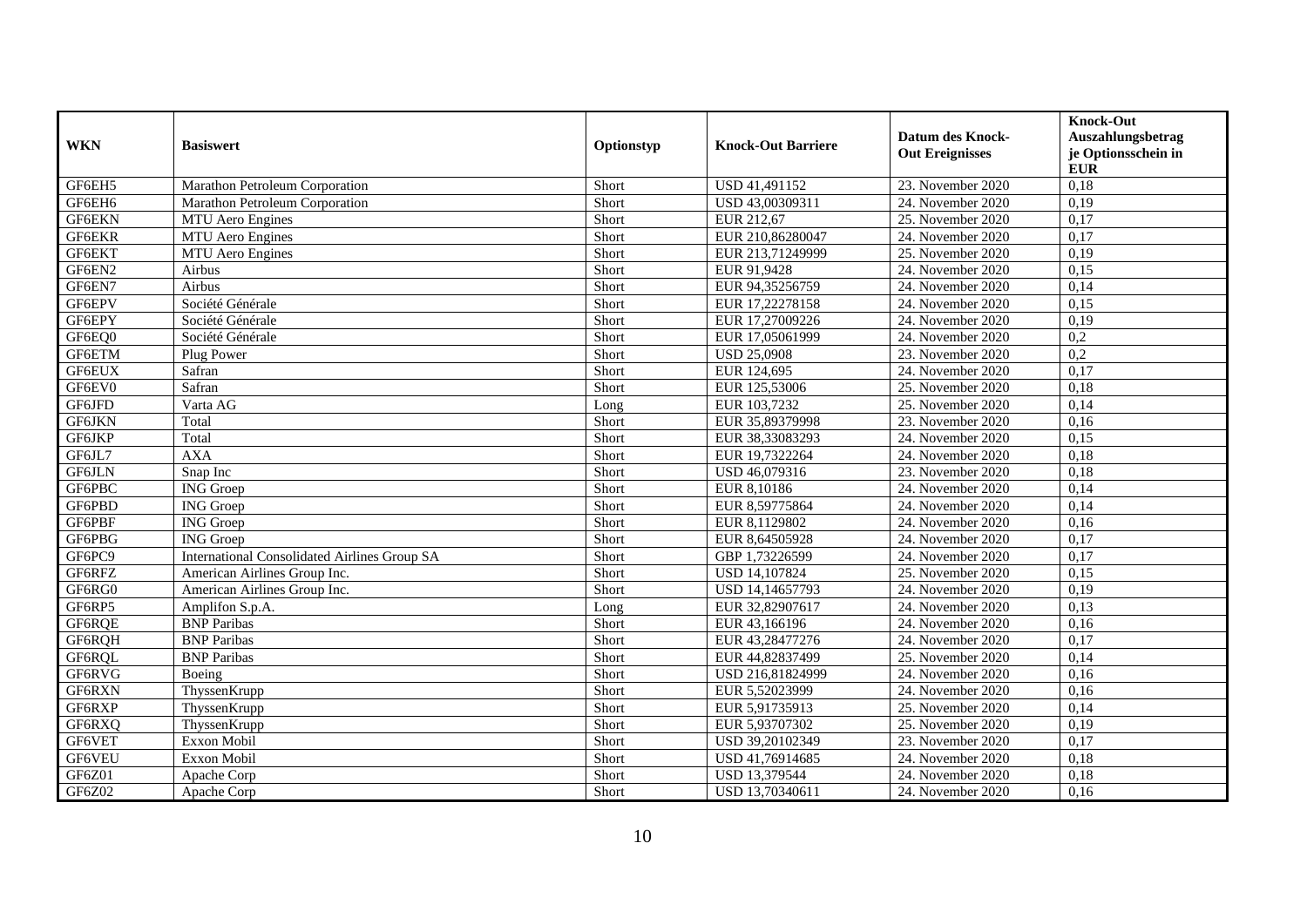| <b>WKN</b> | <b>Basiswert</b>                                    | Optionstyp | <b>Knock-Out Barriere</b> | <b>Datum des Knock-</b><br><b>Out Ereignisses</b> | <b>Knock-Out</b><br>Auszahlungsbetrag<br>je Optionsschein in<br><b>EUR</b> |
|------------|-----------------------------------------------------|------------|---------------------------|---------------------------------------------------|----------------------------------------------------------------------------|
| GF6EH5     | Marathon Petroleum Corporation                      | Short      | USD 41,491152             | 23. November 2020                                 | 0,18                                                                       |
| GF6EH6     | Marathon Petroleum Corporation                      | Short      | USD 43,00309311           | 24. November 2020                                 | 0,19                                                                       |
| GF6EKN     | MTU Aero Engines                                    | Short      | EUR 212,67                | 25. November 2020                                 | 0,17                                                                       |
| GF6EKR     | <b>MTU</b> Aero Engines                             | Short      | EUR 210,86280047          | 24. November 2020                                 | 0,17                                                                       |
| GF6EKT     | MTU Aero Engines                                    | Short      | EUR 213,71249999          | 25. November 2020                                 | 0,19                                                                       |
| GF6EN2     | Airbus                                              | Short      | EUR 91,9428               | 24. November 2020                                 | 0,15                                                                       |
| GF6EN7     | Airbus                                              | Short      | EUR 94,35256759           | 24. November 2020                                 | 0,14                                                                       |
| GF6EPV     | Société Générale                                    | Short      | EUR 17,22278158           | 24. November 2020                                 | 0,15                                                                       |
| GF6EPY     | Société Générale                                    | Short      | EUR 17,27009226           | 24. November 2020                                 | 0,19                                                                       |
| GF6EQ0     | Société Générale                                    | Short      | EUR 17,05061999           | 24. November 2020                                 | $\overline{0,2}$                                                           |
| GF6ETM     | Plug Power                                          | Short      | <b>USD 25,0908</b>        | 23. November 2020                                 | 0,2                                                                        |
| GF6EUX     | Safran                                              | Short      | EUR 124,695               | 24. November 2020                                 | 0,17                                                                       |
| GF6EV0     | Safran                                              | Short      | EUR 125,53006             | 25. November 2020                                 | 0,18                                                                       |
| GF6JFD     | Varta AG                                            | Long       | EUR 103,7232              | 25. November 2020                                 | 0,14                                                                       |
| GF6JKN     | Total                                               | Short      | EUR 35,89379998           | 23. November 2020                                 | 0,16                                                                       |
| GF6JKP     | Total                                               | Short      | EUR 38,33083293           | 24. November 2020                                 | 0,15                                                                       |
| GF6JL7     | <b>AXA</b>                                          | Short      | EUR 19,7322264            | 24. November 2020                                 | 0,18                                                                       |
| GF6JLN     | Snap Inc                                            | Short      | USD 46,079316             | 23. November 2020                                 | 0,18                                                                       |
| GF6PBC     | <b>ING</b> Groep                                    | Short      | EUR 8,10186               | 24. November 2020                                 | 0,14                                                                       |
| GF6PBD     | <b>ING</b> Groep                                    | Short      | EUR 8,59775864            | 24. November 2020                                 | 0,14                                                                       |
| GF6PBF     | <b>ING</b> Groep                                    | Short      | EUR 8,1129802             | 24. November 2020                                 | 0,16                                                                       |
| GF6PBG     | <b>ING</b> Groep                                    | Short      | EUR 8,64505928            | 24. November 2020                                 | 0,17                                                                       |
| GF6PC9     | <b>International Consolidated Airlines Group SA</b> | Short      | GBP 1,73226599            | 24. November 2020                                 | 0,17                                                                       |
| GF6RFZ     | American Airlines Group Inc.                        | Short      | USD 14,107824             | 25. November 2020                                 | 0,15                                                                       |
| GF6RG0     | American Airlines Group Inc.                        | Short      | USD 14,14657793           | 24. November 2020                                 | 0,19                                                                       |
| GF6RP5     | Amplifon S.p.A.                                     | Long       | EUR 32,82907617           | 24. November 2020                                 | 0,13                                                                       |
| GF6RQE     | <b>BNP</b> Paribas                                  | Short      | EUR 43,166196             | 24. November 2020                                 | 0,16                                                                       |
| GF6RQH     | <b>BNP</b> Paribas                                  | Short      | EUR 43,28477276           | 24. November 2020                                 | 0,17                                                                       |
| GF6RQL     | <b>BNP</b> Paribas                                  | Short      | EUR 44,82837499           | 25. November 2020                                 | 0,14                                                                       |
| GF6RVG     | Boeing                                              | Short      | USD 216,81824999          | 24. November 2020                                 | 0,16                                                                       |
| GF6RXN     | ThyssenKrupp                                        | Short      | EUR 5,52023999            | 24. November 2020                                 | 0,16                                                                       |
| GF6RXP     | ThyssenKrupp                                        | Short      | EUR 5,91735913            | 25. November 2020                                 | 0,14                                                                       |
| GF6RXQ     | ThyssenKrupp                                        | Short      | EUR 5,93707302            | 25. November 2020                                 | 0,19                                                                       |
| GF6VET     | Exxon Mobil                                         | Short      | USD 39,20102349           | 23. November 2020                                 | 0,17                                                                       |
| GF6VEU     | Exxon Mobil                                         | Short      | USD 41,76914685           | 24. November 2020                                 | 0,18                                                                       |
| GF6Z01     | Apache Corp                                         | Short      | USD 13,379544             | 24. November 2020                                 | 0,18                                                                       |
| GF6Z02     | Apache Corp                                         | Short      | USD 13,70340611           | 24. November 2020                                 | 0,16                                                                       |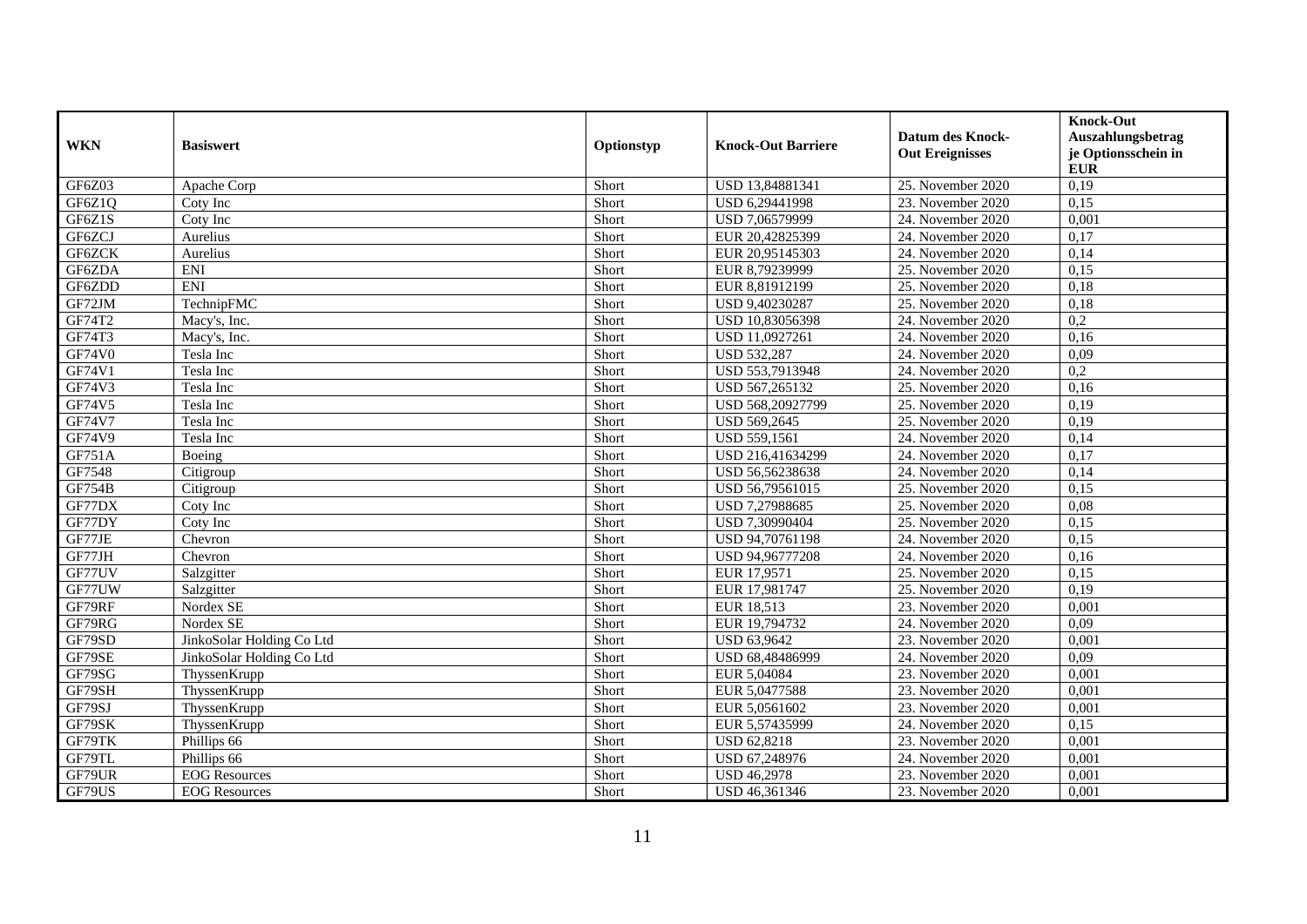| <b>WKN</b>    | <b>Basiswert</b>          | Optionstyp | <b>Knock-Out Barriere</b> | <b>Datum des Knock-</b><br><b>Out Ereignisses</b> | <b>Knock-Out</b><br>Auszahlungsbetrag<br>je Optionsschein in<br><b>EUR</b> |
|---------------|---------------------------|------------|---------------------------|---------------------------------------------------|----------------------------------------------------------------------------|
| GF6Z03        | Apache Corp               | Short      | USD 13,84881341           | 25. November 2020                                 | 0,19                                                                       |
| GF6Z1Q        | Coty Inc                  | Short      | USD 6,29441998            | 23. November 2020                                 | 0,15                                                                       |
| GF6Z1S        | Coty Inc                  | Short      | USD 7,06579999            | 24. November 2020                                 | 0,001                                                                      |
| GF6ZCJ        | Aurelius                  | Short      | EUR 20,42825399           | 24. November 2020                                 | 0,17                                                                       |
| GF6ZCK        | Aurelius                  | Short      | EUR 20,95145303           | 24. November 2020                                 | 0,14                                                                       |
| GF6ZDA        | <b>ENI</b>                | Short      | EUR 8,79239999            | 25. November 2020                                 | 0,15                                                                       |
| GF6ZDD        | <b>ENI</b>                | Short      | EUR 8,81912199            | 25. November 2020                                 | 0,18                                                                       |
| GF72JM        | TechnipFMC                | Short      | USD 9,40230287            | 25. November 2020                                 | 0,18                                                                       |
| GF74T2        | Macy's, Inc.              | Short      | USD 10,83056398           | 24. November 2020                                 | 0,2                                                                        |
| GF74T3        | Macy's, Inc.              | Short      | USD 11,0927261            | 24. November 2020                                 | 0,16                                                                       |
| <b>GF74V0</b> | Tesla Inc                 | Short      | <b>USD 532,287</b>        | 24. November 2020                                 | 0.09                                                                       |
| GF74V1        | Tesla Inc                 | Short      | USD 553,7913948           | 24. November 2020                                 | $\overline{0.2}$                                                           |
| GF74V3        | Tesla Inc                 | Short      | USD 567,265132            | 25. November 2020                                 | 0,16                                                                       |
| GF74V5        | Tesla Inc                 | Short      | USD 568,20927799          | 25. November 2020                                 | 0,19                                                                       |
| GF74V7        | Tesla Inc                 | Short      | USD 569,2645              | 25. November 2020                                 | 0,19                                                                       |
| <b>GF74V9</b> | Tesla Inc                 | Short      | <b>USD 559,1561</b>       | 24. November 2020                                 | 0,14                                                                       |
| GF751A        | Boeing                    | Short      | USD 216,41634299          | 24. November 2020                                 | 0,17                                                                       |
| GF7548        | Citigroup                 | Short      | USD 56,56238638           | 24. November 2020                                 | 0,14                                                                       |
| <b>GF754B</b> | Citigroup                 | Short      | USD 56,79561015           | 25. November 2020                                 | 0,15                                                                       |
| GF77DX        | Coty Inc                  | Short      | USD 7,27988685            | 25. November 2020                                 | 0,08                                                                       |
| GF77DY        | Coty Inc                  | Short      | USD 7,30990404            | 25. November 2020                                 | 0,15                                                                       |
| GF77JE        | Chevron                   | Short      | USD 94,70761198           | 24. November 2020                                 | 0,15                                                                       |
| GF77JH        | Chevron                   | Short      | USD 94,96777208           | 24. November 2020                                 | 0,16                                                                       |
| GF77UV        | Salzgitter                | Short      | EUR 17.9571               | 25. November 2020                                 | 0.15                                                                       |
| GF77UW        | Salzgitter                | Short      | EUR 17,981747             | 25. November 2020                                 | 0,19                                                                       |
| GF79RF        | Nordex SE                 | Short      | EUR 18,513                | 23. November 2020                                 | 0,001                                                                      |
| GF79RG        | Nordex SE                 | Short      | EUR 19,794732             | 24. November 2020                                 | 0,09                                                                       |
| GF79SD        | JinkoSolar Holding Co Ltd | Short      | <b>USD 63,9642</b>        | 23. November 2020                                 | 0,001                                                                      |
| GF79SE        | JinkoSolar Holding Co Ltd | Short      | USD 68,48486999           | 24. November 2020                                 | 0,09                                                                       |
| GF79SG        | ThyssenKrupp              | Short      | EUR 5,04084               | 23. November 2020                                 | 0,001                                                                      |
| GF79SH        | ThyssenKrupp              | Short      | EUR 5,0477588             | 23. November 2020                                 | 0.001                                                                      |
| GF79SJ        | ThyssenKrupp              | Short      | EUR 5,0561602             | 23. November 2020                                 | 0,001                                                                      |
| GF79SK        | ThyssenKrupp              | Short      | EUR 5,57435999            | 24. November 2020                                 | 0,15                                                                       |
| GF79TK        | Phillips 66               | Short      | <b>USD 62,8218</b>        | 23. November 2020                                 | 0,001                                                                      |
| GF79TL        | Phillips 66               | Short      | USD 67,248976             | 24. November 2020                                 | 0,001                                                                      |
| GF79UR        | <b>EOG</b> Resources      | Short      | <b>USD 46,2978</b>        | 23. November 2020                                 | 0,001                                                                      |
| GF79US        | <b>EOG</b> Resources      | Short      | USD 46,361346             | 23. November 2020                                 | 0,001                                                                      |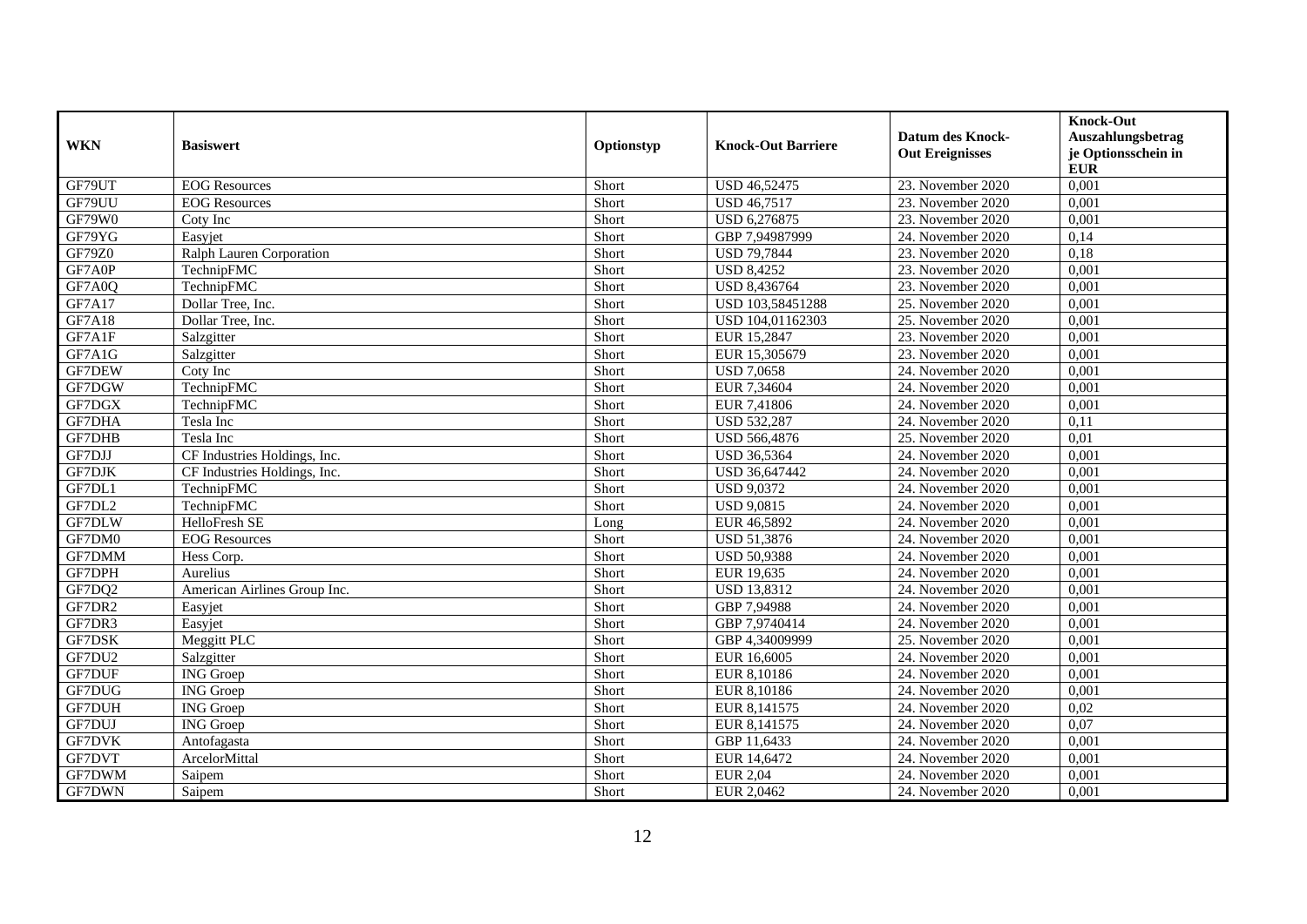| <b>WKN</b>    | <b>Basiswert</b>             | Optionstyp | <b>Knock-Out Barriere</b> | <b>Datum des Knock-</b><br><b>Out Ereignisses</b> | <b>Knock-Out</b><br>Auszahlungsbetrag<br>je Optionsschein in<br><b>EUR</b> |
|---------------|------------------------------|------------|---------------------------|---------------------------------------------------|----------------------------------------------------------------------------|
| GF79UT        | <b>EOG</b> Resources         | Short      | <b>USD 46,52475</b>       | 23. November 2020                                 | 0,001                                                                      |
| GF79UU        | <b>EOG</b> Resources         | Short      | <b>USD 46,7517</b>        | 23. November 2020                                 | 0,001                                                                      |
| GF79W0        | Coty Inc                     | Short      | USD 6,276875              | 23. November 2020                                 | 0,001                                                                      |
| GF79YG        | Easyjet                      | Short      | GBP 7,94987999            | 24. November 2020                                 | 0,14                                                                       |
| <b>GF79Z0</b> | Ralph Lauren Corporation     | Short      | <b>USD 79,7844</b>        | 23. November 2020                                 | 0,18                                                                       |
| GF7A0P        | TechnipFMC                   | Short      | <b>USD 8,4252</b>         | 23. November 2020                                 | 0,001                                                                      |
| GF7A0Q        | TechnipFMC                   | Short      | <b>USD 8,436764</b>       | 23. November 2020                                 | 0,001                                                                      |
| GF7A17        | Dollar Tree, Inc.            | Short      | USD 103,58451288          | 25. November 2020                                 | 0,001                                                                      |
| <b>GF7A18</b> | Dollar Tree, Inc.            | Short      | USD 104,01162303          | 25. November 2020                                 | 0,001                                                                      |
| GF7A1F        | Salzgitter                   | Short      | EUR 15,2847               | 23. November 2020                                 | 0,001                                                                      |
| GF7A1G        | Salzgitter                   | Short      | EUR 15,305679             | 23. November 2020                                 | 0,001                                                                      |
| GF7DEW        | Coty Inc                     | Short      | <b>USD 7,0658</b>         | 24. November 2020                                 | 0,001                                                                      |
| GF7DGW        | TechnipFMC                   | Short      | EUR 7,34604               | 24. November 2020                                 | 0,001                                                                      |
| GF7DGX        | TechnipFMC                   | Short      | EUR 7,41806               | 24. November 2020                                 | 0,001                                                                      |
| <b>GF7DHA</b> | Tesla Inc                    | Short      | <b>USD 532,287</b>        | 24. November 2020                                 | 0,11                                                                       |
| GF7DHB        | Tesla Inc                    | Short      | USD 566,4876              | 25. November 2020                                 | 0,01                                                                       |
| GF7DJJ        | CF Industries Holdings, Inc. | Short      | <b>USD 36,5364</b>        | 24. November 2020                                 | 0,001                                                                      |
| GF7DJK        | CF Industries Holdings, Inc. | Short      | USD 36,647442             | 24. November 2020                                 | 0,001                                                                      |
| GF7DL1        | TechnipFMC                   | Short      | <b>USD 9,0372</b>         | 24. November 2020                                 | 0,001                                                                      |
| GF7DL2        | TechnipFMC                   | Short      | <b>USD 9,0815</b>         | 24. November 2020                                 | 0,001                                                                      |
| GF7DLW        | HelloFresh SE                | Long       | EUR 46,5892               | 24. November 2020                                 | 0,001                                                                      |
| GF7DM0        | <b>EOG</b> Resources         | Short      | <b>USD 51,3876</b>        | 24. November 2020                                 | 0,001                                                                      |
| GF7DMM        | Hess Corp.                   | Short      | <b>USD 50,9388</b>        | 24. November 2020                                 | 0,001                                                                      |
| GF7DPH        | Aurelius                     | Short      | EUR 19,635                | 24. November 2020                                 | 0,001                                                                      |
| GF7DQ2        | American Airlines Group Inc. | Short      | <b>USD 13,8312</b>        | 24. November 2020                                 | 0,001                                                                      |
| GF7DR2        | Easyjet                      | Short      | GBP 7,94988               | 24. November 2020                                 | 0,001                                                                      |
| GF7DR3        | Easyjet                      | Short      | GBP 7,9740414             | 24. November 2020                                 | 0,001                                                                      |
| GF7DSK        | Meggitt PLC                  | Short      | GBP 4,34009999            | 25. November 2020                                 | 0,001                                                                      |
| GF7DU2        | Salzgitter                   | Short      | EUR 16,6005               | 24. November 2020                                 | 0,001                                                                      |
| GF7DUF        | <b>ING</b> Groep             | Short      | EUR 8,10186               | 24. November 2020                                 | 0,001                                                                      |
| GF7DUG        | <b>ING</b> Groep             | Short      | EUR 8,10186               | 24. November 2020                                 | 0,001                                                                      |
| <b>GF7DUH</b> | <b>ING</b> Groep             | Short      | EUR 8,141575              | 24. November 2020                                 | 0,02                                                                       |
| GF7DUJ        | <b>ING</b> Groep             | Short      | EUR 8,141575              | 24. November 2020                                 | 0,07                                                                       |
| <b>GF7DVK</b> | Antofagasta                  | Short      | GBP 11,6433               | 24. November 2020                                 | 0,001                                                                      |
| GF7DVT        | ArcelorMittal                | Short      | EUR 14,6472               | 24. November 2020                                 | 0,001                                                                      |
| GF7DWM        | Saipem                       | Short      | <b>EUR 2,04</b>           | 24. November 2020                                 | 0,001                                                                      |
| GF7DWN        | Saipem                       | Short      | EUR 2,0462                | 24. November 2020                                 | 0,001                                                                      |